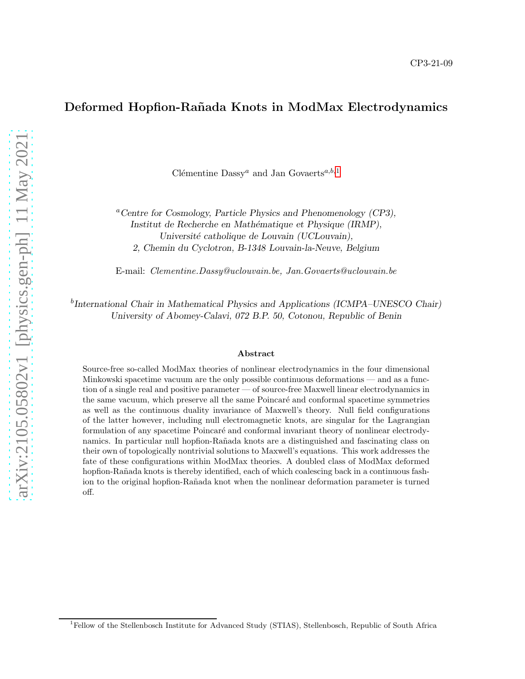# Deformed Hopfion-Rañada Knots in ModMax Electrodynamics

Clémentine Dassy<sup>*a*</sup> and Jan Govaerts<sup>*a*,*b*,[1](#page-0-0)</sub></sup>

<sup>a</sup>*Centre for Cosmology, Particle Physics and Phenomenology (CP3), Institut de Recherche en Math´ematique et Physique (IRMP), Universit´e catholique de Louvain (UCLouvain), 2, Chemin du Cyclotron, B-1348 Louvain-la-Neuve, Belgium*

E-mail: Clementine.Dassy@uclouvain.be, Jan.Govaerts@uclouvain.be

b *International Chair in Mathematical Physics and Applications (ICMPA–UNESCO Chair) University of Abomey-Calavi, 072 B.P. 50, Cotonou, Republic of Benin*

#### Abstract

Source-free so-called ModMax theories of nonlinear electrodynamics in the four dimensional Minkowski spacetime vacuum are the only possible continuous deformations — and as a function of a single real and positive parameter — of source-free Maxwell linear electrodynamics in the same vacuum, which preserve all the same Poincaré and conformal spacetime symmetries as well as the continuous duality invariance of Maxwell's theory. Null field configurations of the latter however, including null electromagnetic knots, are singular for the Lagrangian formulation of any spacetime Poincaré and conformal invariant theory of nonlinear electrodynamics. In particular null hopfion-Rañada knots are a distinguished and fascinating class on their own of topologically nontrivial solutions to Maxwell's equations. This work addresses the fate of these configurations within ModMax theories. A doubled class of ModMax deformed hopfion-Rañada knots is thereby identified, each of which coalescing back in a continuous fashion to the original hopfion-Rañada knot when the nonlinear deformation parameter is turned off.

<span id="page-0-0"></span><sup>&</sup>lt;sup>1</sup>Fellow of the Stellenbosch Institute for Advanced Study (STIAS), Stellenbosch, Republic of South Africa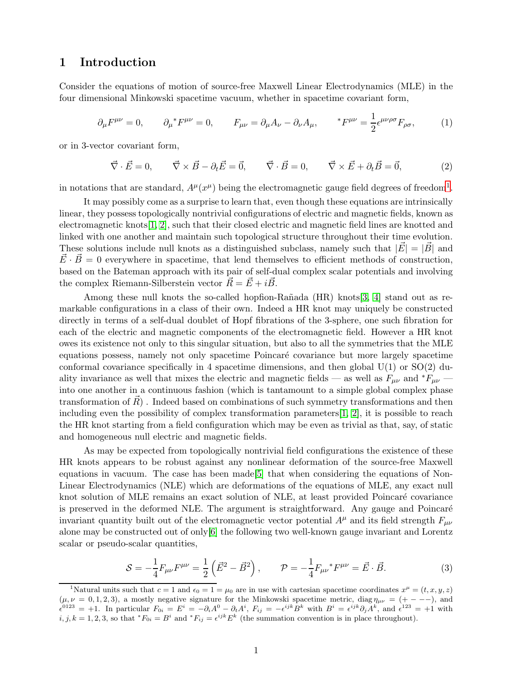# 1 Introduction

Consider the equations of motion of source-free Maxwell Linear Electrodynamics (MLE) in the four dimensional Minkowski spacetime vacuum, whether in spacetime covariant form,

$$
\partial_{\mu}F^{\mu\nu} = 0, \qquad \partial_{\mu} {}^{*}F^{\mu\nu} = 0, \qquad F_{\mu\nu} = \partial_{\mu}A_{\nu} - \partial_{\nu}A_{\mu}, \qquad {}^{*}F^{\mu\nu} = \frac{1}{2} \epsilon^{\mu\nu\rho\sigma} F_{\rho\sigma}, \tag{1}
$$

or in 3-vector covariant form,

 $\vec{\nabla} \cdot \vec{E} = 0, \qquad \vec{\nabla} \times \vec{B} - \partial_t \vec{E} = \vec{0}, \qquad \vec{\nabla} \cdot \vec{B} = 0, \qquad \vec{\nabla} \times \vec{E} + \partial_t \vec{B} = \vec{0},$  (2)

in notations that are standard,  $A^{\mu}(x^{\mu})$  being the electromagnetic gauge field degrees of freedom<sup>[1](#page-1-0)</sup>.

It may possibly come as a surprise to learn that, even though these equations are intrinsically linear, they possess topologically nontrivial configurations of electric and magnetic fields, known as electromagnetic knots[\[1,](#page-31-0) [2\]](#page-31-1), such that their closed electric and magnetic field lines are knotted and linked with one another and maintain such topological structure throughout their time evolution. These solutions include null knots as a distinguished subclass, namely such that  $|\vec{E}| = |\vec{B}|$  and  $\vec{E}\cdot\vec{B}=0$  everywhere in spacetime, that lend themselves to efficient methods of construction, based on the Bateman approach with its pair of self-dual complex scalar potentials and involving the complex Riemann-Silberstein vector  $\vec{R} = \vec{E} + i\vec{B}$ .

Among these null knots the so-called hopfion-Rañada  $(HR)$  knots[\[3,](#page-31-2) [4\]](#page-31-3) stand out as remarkable configurations in a class of their own. Indeed a HR knot may uniquely be constructed directly in terms of a self-dual doublet of Hopf fibrations of the 3-sphere, one such fibration for each of the electric and magnetic components of the electromagnetic field. However a HR knot owes its existence not only to this singular situation, but also to all the symmetries that the MLE equations possess, namely not only spacetime Poincaré covariance but more largely spacetime conformal covariance specifically in 4 spacetime dimensions, and then global  $U(1)$  or  $SO(2)$  duality invariance as well that mixes the electric and magnetic fields — as well as  $F_{\mu\nu}$  and  $*F_{\mu\nu}$  into one another in a continuous fashion (which is tantamount to a simple global complex phase transformation of  $\vec{R}$ ). Indeed based on combinations of such symmetry transformations and then including even the possibility of complex transformation parameters  $[1, 2]$  $[1, 2]$ , it is possible to reach the HR knot starting from a field configuration which may be even as trivial as that, say, of static and homogeneous null electric and magnetic fields.

As may be expected from topologically nontrivial field configurations the existence of these HR knots appears to be robust against any nonlinear deformation of the source-free Maxwell equations in vacuum. The case has been made[\[5\]](#page-31-4) that when considering the equations of Non-Linear Electrodynamics (NLE) which are deformations of the equations of MLE, any exact null knot solution of MLE remains an exact solution of NLE, at least provided Poincaré covariance is preserved in the deformed NLE. The argument is straightforward. Any gauge and Poincaré invariant quantity built out of the electromagnetic vector potential  $A^{\mu}$  and its field strength  $F_{\mu\nu}$ alone may be constructed out of only[\[6\]](#page-31-5) the following two well-known gauge invariant and Lorentz scalar or pseudo-scalar quantities,

$$
S = -\frac{1}{4}F_{\mu\nu}F^{\mu\nu} = \frac{1}{2}\left(\vec{E}^2 - \vec{B}^2\right), \qquad \mathcal{P} = -\frac{1}{4}F_{\mu\nu}{}^*F^{\mu\nu} = \vec{E} \cdot \vec{B}.
$$
 (3)

<span id="page-1-0"></span><sup>&</sup>lt;sup>1</sup>Natural units such that  $c = 1$  and  $\epsilon_0 = 1 = \mu_0$  are in use with cartesian spacetime coordinates  $x^{\mu} = (t, x, y, z)$  $(\mu, \nu = 0, 1, 2, 3)$ , a mostly negative signature for the Minkowski spacetime metric, diag  $\eta_{\mu\nu} = (+ - -)$ , and  $\epsilon^{0123} = +1$ . In particular  $F_{0i} = E^i = -\partial_i A^0 - \partial_t A^i$ ,  $F_{ij} = -\epsilon^{ijk} B^k$  with  $B^i = \epsilon^{ijk} \partial_j A^k$ , and  $\epsilon^{123} = +1$  with  $i, j, k = 1, 2, 3$ , so that  $^*F_{0i} = B^i$  and  $^*F_{ij} = \epsilon^{ijk} E^k$  (the summation convention is in place throughout).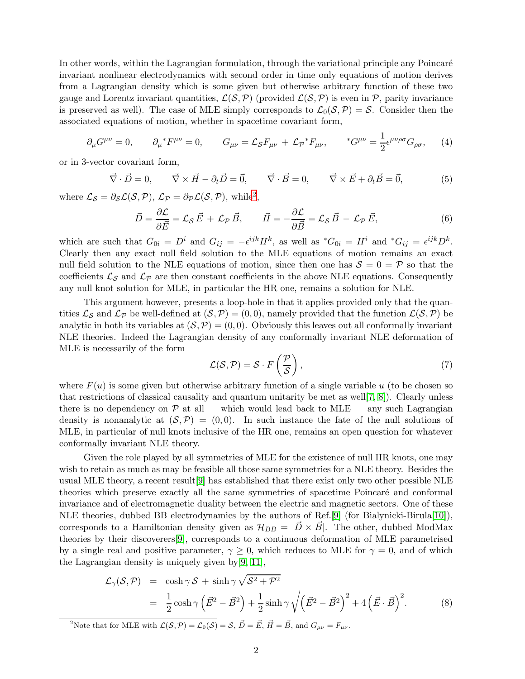In other words, within the Lagrangian formulation, through the variational principle any Poincaré invariant nonlinear electrodynamics with second order in time only equations of motion derives from a Lagrangian density which is some given but otherwise arbitrary function of these two gauge and Lorentz invariant quantities,  $\mathcal{L}(\mathcal{S}, \mathcal{P})$  (provided  $\mathcal{L}(\mathcal{S}, \mathcal{P})$  is even in  $\mathcal{P}$ , parity invariance is preserved as well). The case of MLE simply corresponds to  $\mathcal{L}_0(\mathcal{S}, \mathcal{P}) = \mathcal{S}$ . Consider then the associated equations of motion, whether in spacetime covariant form,

<span id="page-2-2"></span>
$$
\partial_{\mu}G^{\mu\nu} = 0, \qquad \partial_{\mu}^* F^{\mu\nu} = 0, \qquad G_{\mu\nu} = \mathcal{L}_{\mathcal{S}} F_{\mu\nu} + \mathcal{L}_{\mathcal{P}}^* F_{\mu\nu}, \qquad {}^* G^{\mu\nu} = \frac{1}{2} \epsilon^{\mu\nu\rho\sigma} G_{\rho\sigma}, \qquad (4)
$$

or in 3-vector covariant form,

$$
\vec{\nabla} \cdot \vec{D} = 0, \qquad \vec{\nabla} \times \vec{H} - \partial_t \vec{D} = \vec{0}, \qquad \vec{\nabla} \cdot \vec{B} = 0, \qquad \vec{\nabla} \times \vec{E} + \partial_t \vec{B} = \vec{0}, \tag{5}
$$

where  $\mathcal{L}_{\mathcal{S}} = \partial_{\mathcal{S}} \mathcal{L}(\mathcal{S}, \mathcal{P}), \ \mathcal{L}_{\mathcal{P}} = \partial_{\mathcal{P}} \mathcal{L}(\mathcal{S}, \mathcal{P}), \text{ while}^2,$  $\mathcal{L}_{\mathcal{S}} = \partial_{\mathcal{S}} \mathcal{L}(\mathcal{S}, \mathcal{P}), \ \mathcal{L}_{\mathcal{P}} = \partial_{\mathcal{P}} \mathcal{L}(\mathcal{S}, \mathcal{P}), \text{ while}^2,$  $\mathcal{L}_{\mathcal{S}} = \partial_{\mathcal{S}} \mathcal{L}(\mathcal{S}, \mathcal{P}), \ \mathcal{L}_{\mathcal{P}} = \partial_{\mathcal{P}} \mathcal{L}(\mathcal{S}, \mathcal{P}), \text{ while}^2,$ 

<span id="page-2-1"></span>
$$
\vec{D} = \frac{\partial \mathcal{L}}{\partial \vec{E}} = \mathcal{L}_{\mathcal{S}} \vec{E} + \mathcal{L}_{\mathcal{P}} \vec{B}, \qquad \vec{H} = -\frac{\partial \mathcal{L}}{\partial \vec{B}} = \mathcal{L}_{\mathcal{S}} \vec{B} - \mathcal{L}_{\mathcal{P}} \vec{E}, \tag{6}
$$

which are such that  $G_{0i} = D^i$  and  $G_{ij} = -\epsilon^{ijk} H^k$ , as well as  $^*G_{0i} = H^i$  and  $^*G_{ij} = \epsilon^{ijk} D^k$ . Clearly then any exact null field solution to the MLE equations of motion remains an exact null field solution to the NLE equations of motion, since then one has  $S = 0 = \mathcal{P}$  so that the coefficients  $\mathcal{L}_{\mathcal{S}}$  and  $\mathcal{L}_{\mathcal{P}}$  are then constant coefficients in the above NLE equations. Consequently any null knot solution for MLE, in particular the HR one, remains a solution for NLE.

This argument however, presents a loop-hole in that it applies provided only that the quantities  $\mathcal{L}_{\mathcal{S}}$  and  $\mathcal{L}_{\mathcal{P}}$  be well-defined at  $(\mathcal{S},\mathcal{P})=(0,0)$ , namely provided that the function  $\mathcal{L}(\mathcal{S},\mathcal{P})$  be analytic in both its variables at  $(S, P) = (0, 0)$ . Obviously this leaves out all conformally invariant NLE theories. Indeed the Lagrangian density of any conformally invariant NLE deformation of MLE is necessarily of the form

$$
\mathcal{L}(\mathcal{S}, \mathcal{P}) = \mathcal{S} \cdot F\left(\frac{\mathcal{P}}{\mathcal{S}}\right),\tag{7}
$$

where  $F(u)$  is some given but otherwise arbitrary function of a single variable u (to be chosen so that restrictions of classical causality and quantum unitarity be met as well  $(7, 8)$ ). Clearly unless there is no dependency on  $\mathcal{P}$  at all — which would lead back to MLE — any such Lagrangian density is nonanalytic at  $(S, \mathcal{P}) = (0, 0)$ . In such instance the fate of the null solutions of MLE, in particular of null knots inclusive of the HR one, remains an open question for whatever conformally invariant NLE theory.

Given the role played by all symmetries of MLE for the existence of null HR knots, one may wish to retain as much as may be feasible all those same symmetries for a NLE theory. Besides the usual MLE theory, a recent result[\[9\]](#page-31-8) has established that there exist only two other possible NLE theories which preserve exactly all the same symmetries of spacetime Poincaré and conformal invariance and of electromagnetic duality between the electric and magnetic sectors. One of these NLE theories, dubbed BB electrodynamics by the authors of Ref.[\[9\]](#page-31-8) (for Bialynicki-Birula[\[10\]](#page-31-9)), corresponds to a Hamiltonian density given as  $\mathcal{H}_{BB} = |D \times B|$ . The other, dubbed ModMax theories by their discoverers[\[9\]](#page-31-8), corresponds to a continuous deformation of MLE parametrised by a single real and positive parameter,  $\gamma \geq 0$ , which reduces to MLE for  $\gamma = 0$ , and of which the Lagrangian density is uniquely given by[\[9,](#page-31-8) [11\]](#page-31-10),

$$
\mathcal{L}_{\gamma}(\mathcal{S}, \mathcal{P}) = \cosh \gamma \mathcal{S} + \sinh \gamma \sqrt{\mathcal{S}^2 + \mathcal{P}^2}
$$
  
=  $\frac{1}{2} \cosh \gamma \left(\vec{E}^2 - \vec{B}^2\right) + \frac{1}{2} \sinh \gamma \sqrt{\left(\vec{E}^2 - \vec{B}^2\right)^2 + 4\left(\vec{E} \cdot \vec{B}\right)^2}.$  (8)

<span id="page-2-0"></span><sup>2</sup>Note that for MLE with  $\mathcal{L}(\mathcal{S}, \mathcal{P}) = \mathcal{L}_0(\mathcal{S}) = \mathcal{S}, \vec{D} = \vec{E}, \vec{H} = \vec{B}$ , and  $G_{\mu\nu} = F_{\mu\nu}$ .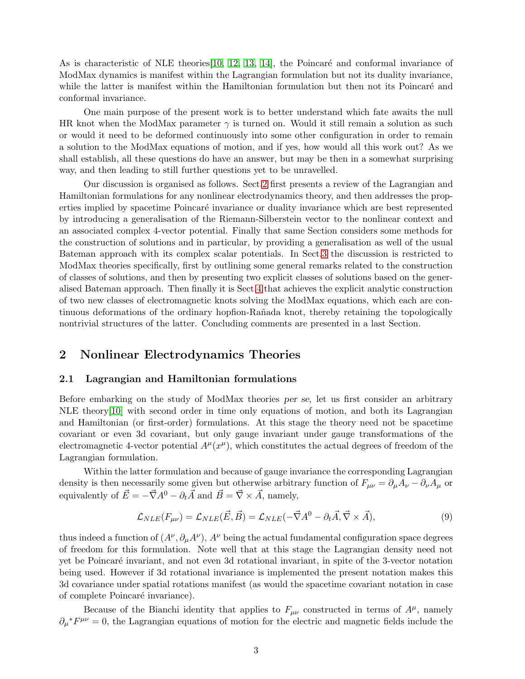As is characteristic of NLE theories [\[10,](#page-31-9) [12,](#page-31-11) [13,](#page-31-12) [14\]](#page-31-13), the Poincaré and conformal invariance of ModMax dynamics is manifest within the Lagrangian formulation but not its duality invariance, while the latter is manifest within the Hamiltonian formulation but then not its Poincaré and conformal invariance.

One main purpose of the present work is to better understand which fate awaits the null HR knot when the ModMax parameter  $\gamma$  is turned on. Would it still remain a solution as such or would it need to be deformed continuously into some other configuration in order to remain a solution to the ModMax equations of motion, and if yes, how would all this work out? As we shall establish, all these questions do have an answer, but may be then in a somewhat surprising way, and then leading to still further questions yet to be unravelled.

Our discussion is organised as follows. Sect[.2](#page-3-0) first presents a review of the Lagrangian and Hamiltonian formulations for any nonlinear electrodynamics theory, and then addresses the properties implied by spacetime Poincaré invariance or duality invariance which are best represented by introducing a generalisation of the Riemann-Silberstein vector to the nonlinear context and an associated complex 4-vector potential. Finally that same Section considers some methods for the construction of solutions and in particular, by providing a generalisation as well of the usual Bateman approach with its complex scalar potentials. In Sect[.3](#page-16-0) the discussion is restricted to ModMax theories specifically, first by outlining some general remarks related to the construction of classes of solutions, and then by presenting two explicit classes of solutions based on the generalised Bateman approach. Then finally it is Sect[.4](#page-21-0) that achieves the explicit analytic construction of two new classes of electromagnetic knots solving the ModMax equations, which each are continuous deformations of the ordinary hopfion-Rañada knot, thereby retaining the topologically nontrivial structures of the latter. Concluding comments are presented in a last Section.

## <span id="page-3-1"></span><span id="page-3-0"></span>2 Nonlinear Electrodynamics Theories

### 2.1 Lagrangian and Hamiltonian formulations

Before embarking on the study of ModMax theories *per se*, let us first consider an arbitrary NLE theory[\[10\]](#page-31-9) with second order in time only equations of motion, and both its Lagrangian and Hamiltonian (or first-order) formulations. At this stage the theory need not be spacetime covariant or even 3d covariant, but only gauge invariant under gauge transformations of the electromagnetic 4-vector potential  $A^{\mu}(x^{\mu})$ , which constitutes the actual degrees of freedom of the Lagrangian formulation.

Within the latter formulation and because of gauge invariance the corresponding Lagrangian density is then necessarily some given but otherwise arbitrary function of  $F_{\mu\nu} = \partial_\mu A_\nu - \partial_\nu A_\mu$  or equivalently of  $\vec{E} = -\vec{\nabla}A^{0} - \partial_{t}\vec{A}$  and  $\vec{B} = \vec{\nabla} \times \vec{A}$ , namely,

$$
\mathcal{L}_{NLE}(F_{\mu\nu}) = \mathcal{L}_{NLE}(\vec{E}, \vec{B}) = \mathcal{L}_{NLE}(-\vec{\nabla}A^0 - \partial_t\vec{A}, \vec{\nabla} \times \vec{A}), \tag{9}
$$

thus indeed a function of  $(A^{\nu}, \partial_{\mu}A^{\nu}), A^{\nu}$  being the actual fundamental configuration space degrees of freedom for this formulation. Note well that at this stage the Lagrangian density need not yet be Poincaré invariant, and not even 3d rotational invariant, in spite of the 3-vector notation being used. However if 3d rotational invariance is implemented the present notation makes this 3d covariance under spatial rotations manifest (as would the spacetime covariant notation in case of complete Poincaré invariance).

Because of the Bianchi identity that applies to  $F_{\mu\nu}$  constructed in terms of  $A^{\mu}$ , namely  $\partial_{\mu}^*F^{\mu\nu} = 0$ , the Lagrangian equations of motion for the electric and magnetic fields include the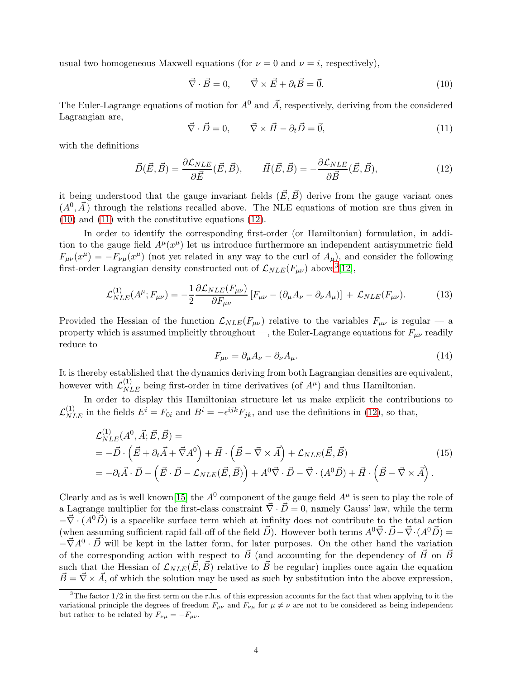usual two homogeneous Maxwell equations (for  $\nu = 0$  and  $\nu = i$ , respectively),

<span id="page-4-0"></span>
$$
\vec{\nabla} \cdot \vec{B} = 0, \qquad \vec{\nabla} \times \vec{E} + \partial_t \vec{B} = \vec{0}. \tag{10}
$$

The Euler-Lagrange equations of motion for  $A^{0}$  and  $\vec{A}$ , respectively, deriving from the considered Lagrangian are,

<span id="page-4-1"></span>
$$
\vec{\nabla} \cdot \vec{D} = 0, \qquad \vec{\nabla} \times \vec{H} - \partial_t \vec{D} = \vec{0}, \tag{11}
$$

with the definitions

<span id="page-4-2"></span>
$$
\vec{D}(\vec{E}, \vec{B}) = \frac{\partial \mathcal{L}_{NLE}}{\partial \vec{E}}(\vec{E}, \vec{B}), \qquad \vec{H}(\vec{E}, \vec{B}) = -\frac{\partial \mathcal{L}_{NLE}}{\partial \vec{B}}(\vec{E}, \vec{B}), \tag{12}
$$

it being understood that the gauge invariant fields  $(\vec{E}, \vec{B})$  derive from the gauge variant ones  $(A^0, \vec{A})$  through the relations recalled above. The NLE equations of motion are thus given in [\(10\)](#page-4-0) and [\(11\)](#page-4-1) with the constitutive equations [\(12\)](#page-4-2).

In order to identify the corresponding first-order (or Hamiltonian) formulation, in addition to the gauge field  $A^{\mu}(x^{\mu})$  let us introduce furthermore an independent antisymmetric field  $F_{\mu\nu}(x^{\mu}) = -F_{\nu\mu}(x^{\mu})$  (not yet related in any way to the curl of  $A_{\mu}$ ), and consider the following first-order Lagrangian density constructed out of  $\mathcal{L}_{NLE}(F_{\mu\nu})$  above<sup>[3](#page-4-3)</sup>[\[12\]](#page-31-11),

$$
\mathcal{L}_{NLE}^{(1)}(A^{\mu}; F_{\mu\nu}) = -\frac{1}{2} \frac{\partial \mathcal{L}_{NLE}(F_{\mu\nu})}{\partial F_{\mu\nu}} \left[ F_{\mu\nu} - (\partial_{\mu} A_{\nu} - \partial_{\nu} A_{\mu}) \right] + \mathcal{L}_{NLE}(F_{\mu\nu}). \tag{13}
$$

Provided the Hessian of the function  $\mathcal{L}_{NLE}(F_{\mu\nu})$  relative to the variables  $F_{\mu\nu}$  is regular — a property which is assumed implicitly throughout —, the Euler-Lagrange equations for  $F_{\mu\nu}$  readily reduce to

$$
F_{\mu\nu} = \partial_{\mu}A_{\nu} - \partial_{\nu}A_{\mu}.
$$
\n(14)

It is thereby established that the dynamics deriving from both Lagrangian densities are equivalent, however with  $\mathcal{L}_{NLE}^{(1)}$  being first-order in time derivatives (of  $A^{\mu}$ ) and thus Hamiltonian.

In order to display this Hamiltonian structure let us make explicit the contributions to  $\mathcal{L}_{NLE}^{(1)}$  in the fields  $E^i = F_{0i}$  and  $B^i = -\epsilon^{ijk} F_{jk}$ , and use the definitions in [\(12\)](#page-4-2), so that,

<span id="page-4-4"></span>
$$
\mathcal{L}_{NLE}^{(1)}(A^0, \vec{A}; \vec{E}, \vec{B}) =
$$
\n
$$
= -\vec{D} \cdot (\vec{E} + \partial_t \vec{A} + \vec{\nabla} A^0) + \vec{H} \cdot (\vec{B} - \vec{\nabla} \times \vec{A}) + \mathcal{L}_{NLE}(\vec{E}, \vec{B})
$$
\n
$$
= -\partial_t \vec{A} \cdot \vec{D} - (\vec{E} \cdot \vec{D} - \mathcal{L}_{NLE}(\vec{E}, \vec{B})) + A^0 \vec{\nabla} \cdot \vec{D} - \vec{\nabla} \cdot (A^0 \vec{D}) + \vec{H} \cdot (\vec{B} - \vec{\nabla} \times \vec{A}).
$$
\n(15)

Clearly and as is well known[\[15\]](#page-31-14) the  $A^0$  component of the gauge field  $A^{\mu}$  is seen to play the role of a Lagrange multiplier for the first-class constraint  $\vec{\nabla} \cdot \vec{D} = 0$ , namely Gauss' law, while the term  $-\vec{\nabla} \cdot (A^0 \vec{D})$  is a spacelike surface term which at infinity does not contribute to the total action (when assuming sufficient rapid fall-off of the field  $\vec{D}$ ). However both terms  $A^0\vec{\nabla}\cdot\vec{D}-\vec{\nabla}\cdot(A^0\vec{D})=$  $-\vec{\nabla}A^0 \cdot \vec{D}$  will be kept in the latter form, for later purposes. On the other hand the variation of the corresponding action with respect to  $\vec{B}$  (and accounting for the dependency of  $\vec{H}~$  on  $\vec{B}$ such that the Hessian of  $\mathcal{L}_{NLE}(\vec{E}, \vec{B})$  relative to  $\vec{B}$  be regular) implies once again the equation  $\vec{B} = \vec{\nabla} \times \vec{A}$ , of which the solution may be used as such by substitution into the above expression,

<span id="page-4-3"></span> $3$ The factor  $1/2$  in the first term on the r.h.s. of this expression accounts for the fact that when applying to it the variational principle the degrees of freedom  $F_{\mu\nu}$  and  $F_{\nu\mu}$  for  $\mu \neq \nu$  are not to be considered as being independent but rather to be related by  $F_{\nu\mu} = -F_{\mu\nu}$ .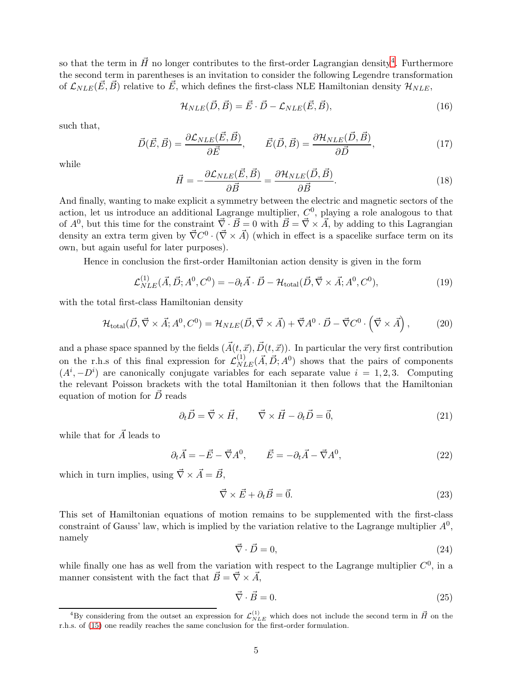so that the term in  $\vec{H}$  no longer contributes to the first-order Lagrangian density<sup>[4](#page-5-0)</sup>. Furthermore the second term in parentheses is an invitation to consider the following Legendre transformation of  $\mathcal{L}_{NLE}(\vec{E}, \vec{B})$  relative to  $\vec{E}$ , which defines the first-class NLE Hamiltonian density  $\mathcal{H}_{NLE}$ ,

<span id="page-5-1"></span>
$$
\mathcal{H}_{NLE}(\vec{D}, \vec{B}) = \vec{E} \cdot \vec{D} - \mathcal{L}_{NLE}(\vec{E}, \vec{B}), \tag{16}
$$

such that,

<span id="page-5-2"></span>
$$
\vec{D}(\vec{E}, \vec{B}) = \frac{\partial \mathcal{L}_{NLE}(\vec{E}, \vec{B})}{\partial \vec{E}}, \qquad \vec{E}(\vec{D}, \vec{B}) = \frac{\partial \mathcal{H}_{NLE}(\vec{D}, \vec{B})}{\partial \vec{D}}, \tag{17}
$$

while

$$
\vec{H} = -\frac{\partial \mathcal{L}_{NLE}(\vec{E}, \vec{B})}{\partial \vec{B}} = \frac{\partial \mathcal{H}_{NLE}(\vec{D}, \vec{B})}{\partial \vec{B}}.
$$
(18)

And finally, wanting to make explicit a symmetry between the electric and magnetic sectors of the action, let us introduce an additional Lagrange multiplier,  $C<sup>0</sup>$ , playing a role analogous to that of  $A^0$ , but this time for the constraint  $\vec{\nabla} \cdot \vec{B} = 0$  with  $\vec{B} = \vec{\nabla} \times \vec{A}$ , by adding to this Lagrangian density an extra term given by  $\vec{\nabla} C^0 \cdot (\vec{\nabla} \times \vec{A})$  (which in effect is a spacelike surface term on its own, but again useful for later purposes).

Hence in conclusion the first-order Hamiltonian action density is given in the form

$$
\mathcal{L}_{NLE}^{(1)}(\vec{A}, \vec{D}; A^0, C^0) = -\partial_t \vec{A} \cdot \vec{D} - \mathcal{H}_{\text{total}}(\vec{D}, \vec{\nabla} \times \vec{A}; A^0, C^0),\tag{19}
$$

with the total first-class Hamiltonian density

$$
\mathcal{H}_{\text{total}}(\vec{D}, \vec{\nabla} \times \vec{A}; A^0, C^0) = \mathcal{H}_{NLE}(\vec{D}, \vec{\nabla} \times \vec{A}) + \vec{\nabla}A^0 \cdot \vec{D} - \vec{\nabla}C^0 \cdot (\vec{\nabla} \times \vec{A}), \tag{20}
$$

and a phase space spanned by the fields  $(\vec{A}(t, \vec{x}), \vec{D}(t, \vec{x}))$ . In particular the very first contribution on the r.h.s of this final expression for  $\mathcal{L}_{NLE}^{(1)}(\vec{A}, \vec{D}; A^0)$  shows that the pairs of components  $(A^{i}, -D^{i})$  are canonically conjugate variables for each separate value  $i = 1, 2, 3$ . Computing the relevant Poisson brackets with the total Hamiltonian it then follows that the Hamiltonian equation of motion for  $\vec{D}$  reads

$$
\partial_t \vec{D} = \vec{\nabla} \times \vec{H}, \qquad \vec{\nabla} \times \vec{H} - \partial_t \vec{D} = \vec{0}, \tag{21}
$$

while that for  $\vec{A}$  leads to

$$
\partial_t \vec{A} = -\vec{E} - \vec{\nabla} A^0, \qquad \vec{E} = -\partial_t \vec{A} - \vec{\nabla} A^0,\tag{22}
$$

which in turn implies, using  $\vec{\nabla} \times \vec{A} = \vec{B}$ ,

$$
\vec{\nabla} \times \vec{E} + \partial_t \vec{B} = \vec{0}.\tag{23}
$$

This set of Hamiltonian equations of motion remains to be supplemented with the first-class constraint of Gauss' law, which is implied by the variation relative to the Lagrange multiplier  $A^0$ , namely

$$
\vec{\nabla} \cdot \vec{D} = 0,\tag{24}
$$

while finally one has as well from the variation with respect to the Lagrange multiplier  $C^0$ , in a manner consistent with the fact that  $\vec{B} = \vec{\nabla} \times \vec{A}$ ,

$$
\vec{\nabla} \cdot \vec{B} = 0. \tag{25}
$$

<span id="page-5-0"></span><sup>&</sup>lt;sup>4</sup>By considering from the outset an expression for  $\mathcal{L}_{NLE}^{(1)}$  which does not include the second term in  $\vec{H}$  on the r.h.s. of [\(15\)](#page-4-4) one readily reaches the same conclusion for the first-order formulation.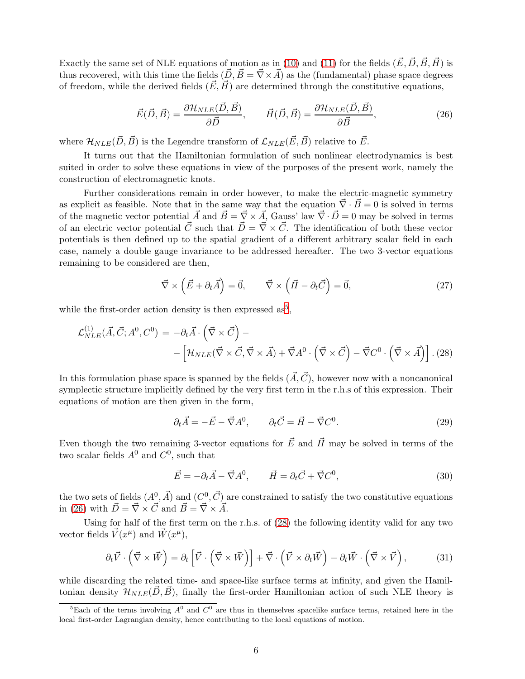Exactly the same set of NLE equations of motion as in [\(10\)](#page-4-0) and [\(11\)](#page-4-1) for the fields  $(\vec{E}, \vec{D}, \vec{B}, \vec{H})$  is thus recovered, with this time the fields  $(\vec{D}, \vec{B} = \vec{\nabla} \times \vec{A})$  as the (fundamental) phase space degrees of freedom, while the derived fields  $(\vec{E}, \vec{H})$  are determined through the constitutive equations,

<span id="page-6-1"></span>
$$
\vec{E}(\vec{D}, \vec{B}) = \frac{\partial \mathcal{H}_{NLE}(\vec{D}, \vec{B})}{\partial \vec{D}}, \qquad \vec{H}(\vec{D}, \vec{B}) = \frac{\partial \mathcal{H}_{NLE}(\vec{D}, \vec{B})}{\partial \vec{B}}, \tag{26}
$$

where  $\mathcal{H}_{NLE}(\vec{D}, \vec{B})$  is the Legendre transform of  $\mathcal{L}_{NLE}(\vec{E}, \vec{B})$  relative to  $\vec{E}$ .

It turns out that the Hamiltonian formulation of such nonlinear electrodynamics is best suited in order to solve these equations in view of the purposes of the present work, namely the construction of electromagnetic knots.

Further considerations remain in order however, to make the electric-magnetic symmetry as explicit as feasible. Note that in the same way that the equation  $\vec{\nabla} \cdot \vec{B} = 0$  is solved in terms of the magnetic vector potential  $\vec{A}$  and  $\vec{B} = \vec{\nabla} \times \vec{A}$ , Gauss' law  $\vec{\nabla} \cdot \vec{D} = 0$  may be solved in terms of an electric vector potential  $\vec{C}$  such that  $\vec{D} = \vec{\nabla} \times \vec{C}$ . The identification of both these vector potentials is then defined up to the spatial gradient of a different arbitrary scalar field in each case, namely a double gauge invariance to be addressed hereafter. The two 3-vector equations remaining to be considered are then,

$$
\vec{\nabla} \times (\vec{E} + \partial_t \vec{A}) = \vec{0}, \qquad \vec{\nabla} \times (\vec{H} - \partial_t \vec{C}) = \vec{0}, \tag{27}
$$

while the first-order action density is then expressed as<sup>[5](#page-6-0)</sup>,

<span id="page-6-2"></span>
$$
\mathcal{L}_{NLE}^{(1)}(\vec{A}, \vec{C}; A^0, C^0) = -\partial_t \vec{A} \cdot (\vec{\nabla} \times \vec{C}) - \left[ \mathcal{H}_{NLE}(\vec{\nabla} \times \vec{C}, \vec{\nabla} \times \vec{A}) + \vec{\nabla} A^0 \cdot (\vec{\nabla} \times \vec{C}) - \vec{\nabla} C^0 \cdot (\vec{\nabla} \times \vec{A}) \right]. (28)
$$

In this formulation phase space is spanned by the fields  $(\vec{A}, \vec{C})$ , however now with a noncanonical symplectic structure implicitly defined by the very first term in the r.h.s of this expression. Their equations of motion are then given in the form,

$$
\partial_t \vec{A} = -\vec{E} - \vec{\nabla} A^0, \qquad \partial_t \vec{C} = \vec{H} - \vec{\nabla} C^0.
$$
\n(29)

Even though the two remaining 3-vector equations for  $\vec{E}$  and  $\vec{H}$  may be solved in terms of the two scalar fields  $A^0$  and  $C^0$ , such that

$$
\vec{E} = -\partial_t \vec{A} - \vec{\nabla} A^0, \qquad \vec{H} = \partial_t \vec{C} + \vec{\nabla} C^0,
$$
\n(30)

the two sets of fields  $(A^0, \vec{A})$  and  $(C^0, \vec{C})$  are constrained to satisfy the two constitutive equations in [\(26\)](#page-6-1) with  $\vec{D} = \vec{\nabla} \times \vec{C}$  and  $\vec{B} = \vec{\nabla} \times \vec{A}$ .

Using for half of the first term on the r.h.s. of [\(28\)](#page-6-2) the following identity valid for any two vector fields  $\vec{V}(x^{\mu})$  and  $\vec{W}(x^{\mu}),$ 

$$
\partial_t \vec{V} \cdot (\vec{\nabla} \times \vec{W}) = \partial_t \left[ \vec{V} \cdot (\vec{\nabla} \times \vec{W}) \right] + \vec{\nabla} \cdot (\vec{V} \times \partial_t \vec{W}) - \partial_t \vec{W} \cdot (\vec{\nabla} \times \vec{V}), \tag{31}
$$

while discarding the related time- and space-like surface terms at infinity, and given the Hamiltonian density  $\mathcal{H}_{NLE}(D, B)$ , finally the first-order Hamiltonian action of such NLE theory is

<span id="page-6-0"></span><sup>&</sup>lt;sup>5</sup>Each of the terms involving  $A^0$  and  $C^0$  are thus in themselves spacelike surface terms, retained here in the local first-order Lagrangian density, hence contributing to the local equations of motion.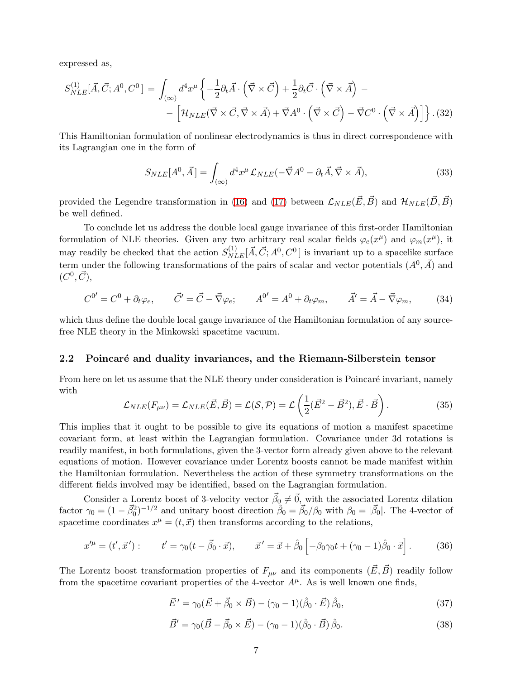expressed as,

<span id="page-7-0"></span>
$$
S_{NLE}^{(1)}[\vec{A}, \vec{C}; A^0, C^0] = \int_{(\infty)} d^4 x^{\mu} \left\{ -\frac{1}{2} \partial_t \vec{A} \cdot (\vec{\nabla} \times \vec{C}) + \frac{1}{2} \partial_t \vec{C} \cdot (\vec{\nabla} \times \vec{A}) - \left[ \mathcal{H}_{NLE}(\vec{\nabla} \times \vec{C}, \vec{\nabla} \times \vec{A}) + \vec{\nabla} A^0 \cdot (\vec{\nabla} \times \vec{C}) - \vec{\nabla} C^0 \cdot (\vec{\nabla} \times \vec{A}) \right] \right\}.
$$
(32)

This Hamiltonian formulation of nonlinear electrodynamics is thus in direct correspondence with its Lagrangian one in the form of

$$
S_{NLE}[A^0, \vec{A}] = \int_{(\infty)} d^4 x^{\mu} \mathcal{L}_{NLE}(-\vec{\nabla}A^0 - \partial_t \vec{A}, \vec{\nabla} \times \vec{A}), \tag{33}
$$

provided the Legendre transformation in [\(16\)](#page-5-1) and [\(17\)](#page-5-2) between  $\mathcal{L}_{NLE}(\vec{E}, \vec{B})$  and  $\mathcal{H}_{NLE}(\vec{D}, \vec{B})$ be well defined.

To conclude let us address the double local gauge invariance of this first-order Hamiltonian formulation of NLE theories. Given any two arbitrary real scalar fields  $\varphi_e(x^{\mu})$  and  $\varphi_m(x^{\mu})$ , it may readily be checked that the action  $S_{NLE}^{(1)}[\vec{A}, \vec{C}; A^0, C^0]$  is invariant up to a spacelike surface term under the following transformations of the pairs of scalar and vector potentials  $(A^0, \vec{A})$  and  $(C^0, \vec{C}),$ 

$$
C^{0'} = C^0 + \partial_t \varphi_e, \qquad \vec{C}' = \vec{C} - \vec{\nabla} \varphi_e; \qquad A^{0'} = A^0 + \partial_t \varphi_m, \qquad \vec{A}' = \vec{A} - \vec{\nabla} \varphi_m,\tag{34}
$$

which thus define the double local gauge invariance of the Hamiltonian formulation of any sourcefree NLE theory in the Minkowski spacetime vacuum.

#### <span id="page-7-1"></span>2.2 Poincaré and duality invariances, and the Riemann-Silberstein tensor

From here on let us assume that the NLE theory under consideration is Poincaré invariant, namely with

$$
\mathcal{L}_{NLE}(F_{\mu\nu}) = \mathcal{L}_{NLE}(\vec{E}, \vec{B}) = \mathcal{L}(\mathcal{S}, \mathcal{P}) = \mathcal{L}\left(\frac{1}{2}(\vec{E}^2 - \vec{B}^2), \vec{E} \cdot \vec{B}\right).
$$
(35)

This implies that it ought to be possible to give its equations of motion a manifest spacetime covariant form, at least within the Lagrangian formulation. Covariance under 3d rotations is readily manifest, in both formulations, given the 3-vector form already given above to the relevant equations of motion. However covariance under Lorentz boosts cannot be made manifest within the Hamiltonian formulation. Nevertheless the action of these symmetry transformations on the different fields involved may be identified, based on the Lagrangian formulation.

Consider a Lorentz boost of 3-velocity vector  $\vec{\beta}_0 \neq \vec{0}$ , with the associated Lorentz dilation factor  $\gamma_0 = (1 - \vec{\beta}_0^2)^{-1/2}$  and unitary boost direction  $\hat{\beta}_0 = \vec{\beta}_0/\beta_0$  with  $\beta_0 = |\vec{\beta}_0|$ . The 4-vector of spacetime coordinates  $x^{\mu} = (t, \vec{x})$  then transforms according to the relations,

$$
x'^{\mu} = (t', \vec{x}') : \qquad t' = \gamma_0 (t - \vec{\beta}_0 \cdot \vec{x}), \qquad \vec{x}' = \vec{x} + \hat{\beta}_0 \left[ -\beta_0 \gamma_0 t + (\gamma_0 - 1)\hat{\beta}_0 \cdot \vec{x} \right]. \tag{36}
$$

The Lorentz boost transformation properties of  $F_{\mu\nu}$  and its components  $(\vec{E}, \vec{B})$  readily follow from the spacetime covariant properties of the 4-vector  $A^{\mu}$ . As is well known one finds,

$$
\vec{E}' = \gamma_0 (\vec{E} + \vec{\beta}_0 \times \vec{B}) - (\gamma_0 - 1)(\hat{\beta}_0 \cdot \vec{E}) \hat{\beta}_0, \tag{37}
$$

$$
\vec{B}' = \gamma_0 (\vec{B} - \vec{\beta}_0 \times \vec{E}) - (\gamma_0 - 1)(\hat{\beta}_0 \cdot \vec{B}) \hat{\beta}_0.
$$
 (38)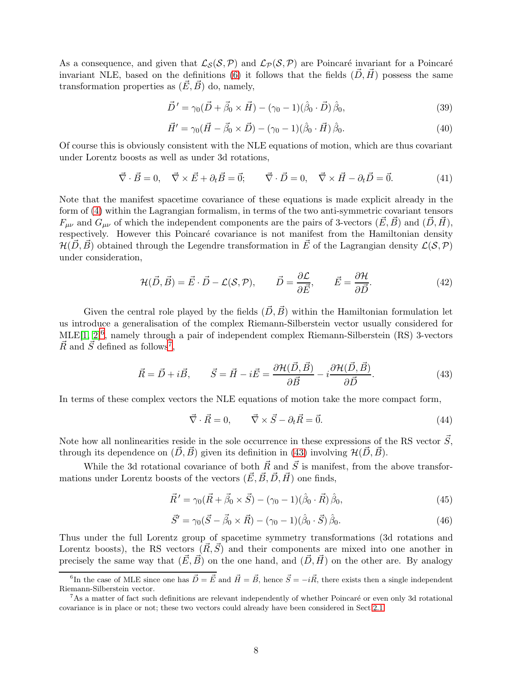As a consequence, and given that  $\mathcal{L}_{\mathcal{S}}(\mathcal{S}, \mathcal{P})$  and  $\mathcal{L}_{\mathcal{P}}(\mathcal{S}, \mathcal{P})$  are Poincaré invariant for a Poincaré invariant NLE, based on the definitions [\(6\)](#page-2-1) it follows that the fields  $(\vec{D}, \vec{H})$  possess the same transformation properties as  $(\vec{E}, \vec{B})$  do, namely,

$$
\vec{D}' = \gamma_0 (\vec{D} + \vec{\beta}_0 \times \vec{H}) - (\gamma_0 - 1)(\hat{\beta}_0 \cdot \vec{D}) \hat{\beta}_0, \tag{39}
$$

$$
\vec{H}' = \gamma_0 (\vec{H} - \vec{\beta}_0 \times \vec{D}) - (\gamma_0 - 1)(\hat{\beta}_0 \cdot \vec{H}) \hat{\beta}_0.
$$
\n(40)

Of course this is obviously consistent with the NLE equations of motion, which are thus covariant under Lorentz boosts as well as under 3d rotations,

$$
\vec{\nabla} \cdot \vec{B} = 0, \quad \vec{\nabla} \times \vec{E} + \partial_t \vec{B} = \vec{0}; \qquad \vec{\nabla} \cdot \vec{D} = 0, \quad \vec{\nabla} \times \vec{H} - \partial_t \vec{D} = \vec{0}.
$$
 (41)

Note that the manifest spacetime covariance of these equations is made explicit already in the form of [\(4\)](#page-2-2) within the Lagrangian formalism, in terms of the two anti-symmetric covariant tensors  $F_{\mu\nu}$  and  $G_{\mu\nu}$  of which the independent components are the pairs of 3-vectors  $(\vec{E}, \vec{B})$  and  $(\vec{D}, \vec{H})$ , respectively. However this Poincaré covariance is not manifest from the Hamiltonian density  $\mathcal{H}(\vec{D}, \vec{B})$  obtained through the Legendre transformation in  $\vec{E}$  of the Lagrangian density  $\mathcal{L}(\mathcal{S}, \mathcal{P})$ under consideration,

$$
\mathcal{H}(\vec{D}, \vec{B}) = \vec{E} \cdot \vec{D} - \mathcal{L}(\mathcal{S}, \mathcal{P}), \qquad \vec{D} = \frac{\partial \mathcal{L}}{\partial \vec{E}}, \qquad \vec{E} = \frac{\partial \mathcal{H}}{\partial \vec{D}}.
$$
\n(42)

Given the central role played by the fields  $(\vec{D}, \vec{B})$  within the Hamiltonian formulation let us introduce a generalisation of the complex Riemann-Silberstein vector usually considered for MLE[\[1,](#page-31-0) [2\]](#page-31-1)<sup>[6](#page-8-0)</sup>, namely through a pair of independent complex Riemann-Silberstein (RS) 3-vectors  $\vec{R}$  and  $\vec{S}$  defined as follows<sup>[7](#page-8-1)</sup>,

<span id="page-8-2"></span>
$$
\vec{R} = \vec{D} + i\vec{B}, \qquad \vec{S} = \vec{H} - i\vec{E} = \frac{\partial \mathcal{H}(\vec{D}, \vec{B})}{\partial \vec{B}} - i\frac{\partial \mathcal{H}(\vec{D}, \vec{B})}{\partial \vec{D}}.
$$
(43)

In terms of these complex vectors the NLE equations of motion take the more compact form,

<span id="page-8-3"></span>
$$
\vec{\nabla} \cdot \vec{R} = 0, \qquad \vec{\nabla} \times \vec{S} - \partial_t \vec{R} = \vec{0}. \tag{44}
$$

Note how all nonlinearities reside in the sole occurrence in these expressions of the RS vector  $\vec{S}$ , through its dependence on  $(\vec{D}, \vec{B})$  given its definition in [\(43\)](#page-8-2) involving  $\mathcal{H}(\vec{D}, \vec{B})$ .

While the 3d rotational covariance of both  $\vec{R}$  and  $\vec{S}$  is manifest, from the above transformations under Lorentz boosts of the vectors  $(\vec{E}, \vec{B}, \vec{D}, \vec{H})$  one finds,

$$
\vec{R}' = \gamma_0 (\vec{R} + \vec{\beta}_0 \times \vec{S}) - (\gamma_0 - 1)(\hat{\beta}_0 \cdot \vec{R}) \hat{\beta}_0, \tag{45}
$$

$$
\vec{S}' = \gamma_0 (\vec{S} - \vec{\beta}_0 \times \vec{R}) - (\gamma_0 - 1)(\hat{\beta}_0 \cdot \vec{S}) \hat{\beta}_0.
$$
 (46)

Thus under the full Lorentz group of spacetime symmetry transformations (3d rotations and Lorentz boosts), the RS vectors  $(\vec{R}, \vec{S})$  and their components are mixed into one another in precisely the same way that  $(\vec{E}, \vec{B})$  on the one hand, and  $(\vec{D}, \vec{H})$  on the other are. By analogy

<span id="page-8-0"></span><sup>&</sup>lt;sup>6</sup>In the case of MLE since one has  $\vec{D} = \vec{E}$  and  $\vec{H} = \vec{B}$ , hence  $\vec{S} = -i\vec{R}$ , there exists then a single independent Riemann-Silberstein vector.

<span id="page-8-1"></span><sup>&</sup>lt;sup>7</sup>As a matter of fact such definitions are relevant independently of whether Poincaré or even only 3d rotational covariance is in place or not; these two vectors could already have been considered in Sect[.2.1.](#page-3-1)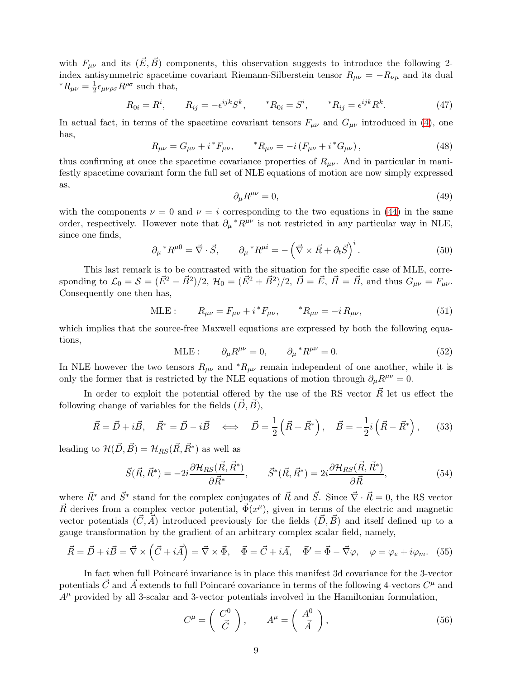with  $F_{\mu\nu}$  and its  $(\vec{E}, \vec{B})$  components, this observation suggests to introduce the following 2index antisymmetric spacetime covariant Riemann-Silberstein tensor  $R_{\mu\nu} = -R_{\nu\mu}$  and its dual  ${}^*R_{\mu\nu}=\frac{1}{2}$  $\frac{1}{2}\epsilon_{\mu\nu\rho\sigma}R^{\rho\sigma}$  such that,

$$
R_{0i} = R^i, \qquad R_{ij} = -\epsilon^{ijk} S^k, \qquad {}^*R_{0i} = S^i, \qquad {}^*R_{ij} = \epsilon^{ijk} R^k. \tag{47}
$$

In actual fact, in terms of the spacetime covariant tensors  $F_{\mu\nu}$  and  $G_{\mu\nu}$  introduced in [\(4\)](#page-2-2), one has,

$$
R_{\mu\nu} = G_{\mu\nu} + i^* F_{\mu\nu}, \qquad {}^* R_{\mu\nu} = -i (F_{\mu\nu} + i^* G_{\mu\nu}), \qquad (48)
$$

thus confirming at once the spacetime covariance properties of  $R_{\mu\nu}$ . And in particular in manifestly spacetime covariant form the full set of NLE equations of motion are now simply expressed as,

$$
\partial_{\mu}R^{\mu\nu} = 0,\tag{49}
$$

with the components  $\nu = 0$  and  $\nu = i$  corresponding to the two equations in [\(44\)](#page-8-3) in the same order, respectively. However note that  $\partial_\mu * R^{\mu\nu}$  is not restricted in any particular way in NLE, since one finds,

$$
\partial_{\mu} {}^{*}R^{\mu 0} = \vec{\nabla} \cdot \vec{S}, \qquad \partial_{\mu} {}^{*}R^{\mu i} = -\left(\vec{\nabla} \times \vec{R} + \partial_{t}\vec{S}\right)^{i}.
$$
 (50)

This last remark is to be contrasted with the situation for the specific case of MLE, corresponding to  $\mathcal{L}_0 = \mathcal{S} = (\vec{E}^2 - \vec{B}^2)/2$ ,  $\mathcal{H}_0 = (\vec{E}^2 + \vec{B}^2)/2$ ,  $\vec{D} = \vec{E}$ ,  $\vec{H} = \vec{B}$ , and thus  $G_{\mu\nu} = F_{\mu\nu}$ . Consequently one then has,

MLE: 
$$
R_{\mu\nu} = F_{\mu\nu} + i^* F_{\mu\nu}, \qquad {}^* R_{\mu\nu} = -i R_{\mu\nu},
$$
 (51)

which implies that the source-free Maxwell equations are expressed by both the following equations,

$$
MLE: \qquad \partial_{\mu}R^{\mu\nu} = 0, \qquad \partial_{\mu} {}^{*}R^{\mu\nu} = 0. \tag{52}
$$

In NLE however the two tensors  $R_{\mu\nu}$  and  ${}^*R_{\mu\nu}$  remain independent of one another, while it is only the former that is restricted by the NLE equations of motion through  $\partial_{\mu}R^{\mu\nu} = 0$ .

In order to exploit the potential offered by the use of the RS vector  $\vec{R}$  let us effect the following change of variables for the fields  $(\vec{D}, \vec{B})$ ,

$$
\vec{R} = \vec{D} + i\vec{B}, \quad \vec{R}^* = \vec{D} - i\vec{B} \quad \Longleftrightarrow \quad \vec{D} = \frac{1}{2} \left( \vec{R} + \vec{R}^* \right), \quad \vec{B} = -\frac{1}{2} i \left( \vec{R} - \vec{R}^* \right), \tag{53}
$$

leading to  $\mathcal{H}(\vec{D}, \vec{B}) = \mathcal{H}_{RS}(\vec{R}, \vec{R}^*)$  as well as

<span id="page-9-0"></span>
$$
\vec{S}(\vec{R}, \vec{R}^*) = -2i \frac{\partial \mathcal{H}_{RS}(\vec{R}, \vec{R}^*)}{\partial \vec{R}^*}, \qquad \vec{S}^*(\vec{R}, \vec{R}^*) = 2i \frac{\partial \mathcal{H}_{RS}(\vec{R}, \vec{R}^*)}{\partial \vec{R}}, \tag{54}
$$

where  $\vec{R}^*$  and  $\vec{S}^*$  stand for the complex conjugates of  $\vec{R}$  and  $\vec{S}$ . Since  $\vec{\nabla} \cdot \vec{R} = 0$ , the RS vector  $\vec{R}$  derives from a complex vector potential,  $\vec{\Phi}(x^{\mu})$ , given in terms of the electric and magnetic vector potentials  $(\vec{C}, \vec{A})$  introduced previously for the fields  $(\vec{D}, \vec{B})$  and itself defined up to a gauge transformation by the gradient of an arbitrary complex scalar field, namely,

$$
\vec{R} = \vec{D} + i\vec{B} = \vec{\nabla} \times (\vec{C} + i\vec{A}) = \vec{\nabla} \times \vec{\Phi}, \quad \vec{\Phi} = \vec{C} + i\vec{A}, \quad \vec{\Phi}' = \vec{\Phi} - \vec{\nabla}\varphi, \quad \varphi = \varphi_e + i\varphi_m. \tag{55}
$$

In fact when full Poincaré invariance is in place this manifest 3d covariance for the 3-vector potentials  $\vec{C}$  and  $\vec{A}$  extends to full Poincaré covariance in terms of the following 4-vectors  $C^{\mu}$  and  $A^{\mu}$  provided by all 3-scalar and 3-vector potentials involved in the Hamiltonian formulation,

$$
C^{\mu} = \begin{pmatrix} C^0 \\ \vec{C} \end{pmatrix}, \qquad A^{\mu} = \begin{pmatrix} A^0 \\ \vec{A} \end{pmatrix}, \tag{56}
$$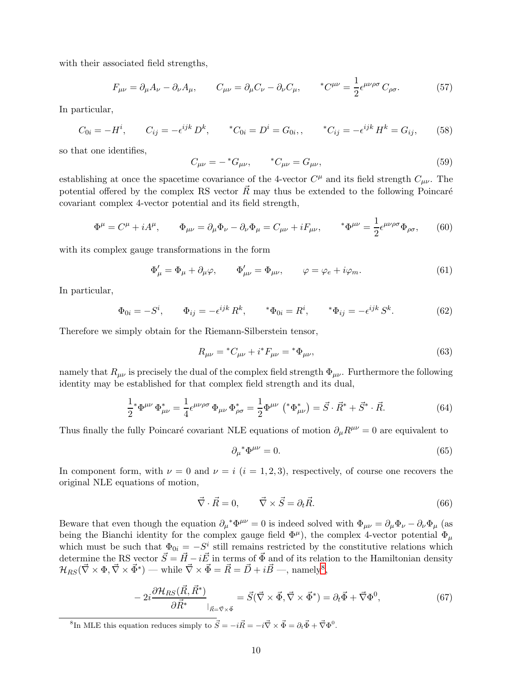with their associated field strengths,

$$
F_{\mu\nu} = \partial_{\mu}A_{\nu} - \partial_{\nu}A_{\mu}, \qquad C_{\mu\nu} = \partial_{\mu}C_{\nu} - \partial_{\nu}C_{\mu}, \qquad {}^{*}C^{\mu\nu} = \frac{1}{2}\epsilon^{\mu\nu\rho\sigma}C_{\rho\sigma}.
$$
 (57)

In particular,

$$
C_{0i} = -H^i, \qquad C_{ij} = -\epsilon^{ijk} D^k, \qquad ^*C_{0i} = D^i = G_{0i}, \qquad ^*C_{ij} = -\epsilon^{ijk} H^k = G_{ij}, \qquad (58)
$$

so that one identifies,

$$
C_{\mu\nu} = -{}^{*}G_{\mu\nu}, \qquad {}^{*}C_{\mu\nu} = G_{\mu\nu}, \qquad (59)
$$

establishing at once the spacetime covariance of the 4-vector  $C^{\mu}$  and its field strength  $C_{\mu\nu}$ . The potential offered by the complex RS vector  $\vec{R}$  may thus be extended to the following Poincaré covariant complex 4-vector potential and its field strength,

$$
\Phi^{\mu} = C^{\mu} + iA^{\mu}, \qquad \Phi_{\mu\nu} = \partial_{\mu}\Phi_{\nu} - \partial_{\nu}\Phi_{\mu} = C_{\mu\nu} + iF_{\mu\nu}, \qquad {}^{*}\Phi^{\mu\nu} = \frac{1}{2}\epsilon^{\mu\nu\rho\sigma}\Phi_{\rho\sigma}, \qquad (60)
$$

with its complex gauge transformations in the form

$$
\Phi'_{\mu} = \Phi_{\mu} + \partial_{\mu}\varphi, \qquad \Phi'_{\mu\nu} = \Phi_{\mu\nu}, \qquad \varphi = \varphi_e + i\varphi_m. \tag{61}
$$

In particular,

$$
\Phi_{0i} = -S^i
$$
,  $\Phi_{ij} = -\epsilon^{ijk} R^k$ ,  $\ast \Phi_{0i} = R^i$ ,  $\ast \Phi_{ij} = -\epsilon^{ijk} S^k$ . (62)

Therefore we simply obtain for the Riemann-Silberstein tensor,

$$
R_{\mu\nu} = {}^{*}C_{\mu\nu} + i{}^{*}F_{\mu\nu} = {}^{*}\Phi_{\mu\nu}, \tag{63}
$$

namely that  $R_{\mu\nu}$  is precisely the dual of the complex field strength  $\Phi_{\mu\nu}$ . Furthermore the following identity may be established for that complex field strength and its dual,

<span id="page-10-2"></span>
$$
\frac{1}{2} \Phi^{\mu\nu} \Phi^*_{\mu\nu} = \frac{1}{4} \epsilon^{\mu\nu\rho\sigma} \Phi_{\mu\nu} \Phi^*_{\rho\sigma} = \frac{1}{2} \Phi^{\mu\nu} \left( \Phi^*_{\mu\nu} \right) = \vec{S} \cdot \vec{R}^* + \vec{S}^* \cdot \vec{R}.
$$
 (64)

Thus finally the fully Poincaré covariant NLE equations of motion  $\partial_{\mu}R^{\mu\nu} = 0$  are equivalent to

$$
\partial_{\mu}^* \Phi^{\mu\nu} = 0. \tag{65}
$$

In component form, with  $\nu = 0$  and  $\nu = i$  (i = 1, 2, 3), respectively, of course one recovers the original NLE equations of motion,

$$
\vec{\nabla} \cdot \vec{R} = 0, \qquad \vec{\nabla} \times \vec{S} = \partial_t \vec{R}.
$$
\n(66)

Beware that even though the equation  $\partial_\mu^* \Phi^{\mu\nu} = 0$  is indeed solved with  $\Phi_{\mu\nu} = \partial_\mu \Phi_\nu - \partial_\nu \Phi_\mu$  (as being the Bianchi identity for the complex gauge field  $\Phi^{\mu}$ ), the complex 4-vector potential  $\Phi_{\mu}$ which must be such that  $\Phi_{0i} = -S^i$  still remains restricted by the constitutive relations which determine the RS vector  $\vec{S} = \vec{H} - i\vec{E}$  in terms of  $\vec{\Phi}$  and of its relation to the Hamiltonian density  $\mathcal{H}_{RS}(\vec{\nabla}\times\Phi,\vec{\nabla}\times\vec{\Phi}^*)$  — while  $\vec{\nabla}\times\vec{\Phi}=\vec{R}=\vec{D}+i\vec{B}$  —, namely<sup>[8](#page-10-0)</sup>,

<span id="page-10-1"></span>
$$
-2i\frac{\partial \mathcal{H}_{RS}(\vec{R}, \vec{R}^*)}{\partial \vec{R}^*}\Big|_{\vec{R} = \vec{\nabla}\times\vec{\Phi}} = \vec{S}(\vec{\nabla}\times\vec{\Phi}, \vec{\nabla}\times\vec{\Phi}^*) = \partial_t\vec{\Phi} + \vec{\nabla}\Phi^0,\tag{67}
$$

<span id="page-10-0"></span><sup>&</sup>lt;sup>8</sup>In MLE this equation reduces simply to  $\vec{S} = -i\vec{R} = -i\vec{\nabla} \times \vec{\Phi} = \partial_t \vec{\Phi} + \vec{\nabla} \Phi^0$ .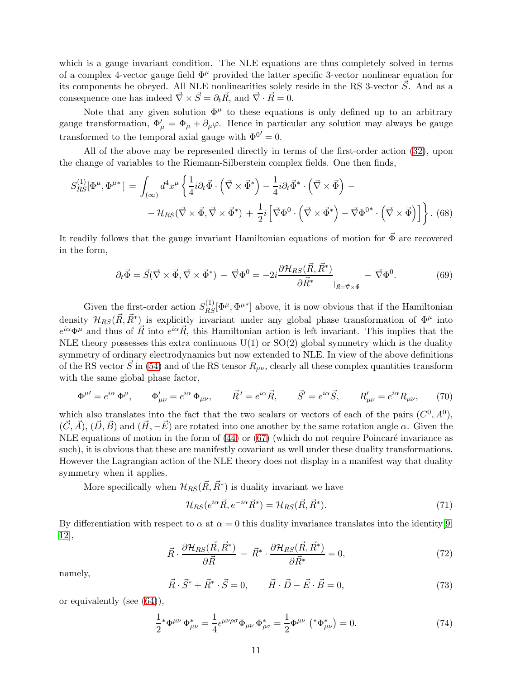which is a gauge invariant condition. The NLE equations are thus completely solved in terms of a complex 4-vector gauge field  $\Phi^{\mu}$  provided the latter specific 3-vector nonlinear equation for its components be obeyed. All NLE nonlinearities solely reside in the RS 3-vector  $\vec{S}$ . And as a consequence one has indeed  $\vec{\nabla} \times \vec{S} = \partial_t \vec{R}$ , and  $\vec{\nabla} \cdot \vec{R} = 0$ .

Note that any given solution  $\Phi^{\mu}$  to these equations is only defined up to an arbitrary gauge transformation,  $\Phi'_{\mu} = \Phi_{\mu} + \partial_{\mu}\varphi$ . Hence in particular any solution may always be gauge transformed to the temporal axial gauge with  $\Phi^{0'} = 0$ .

All of the above may be represented directly in terms of the first-order action [\(32\)](#page-7-0), upon the change of variables to the Riemann-Silberstein complex fields. One then finds,

$$
S_{RS}^{(1)}[\Phi^{\mu}, \Phi^{\mu*}] = \int_{(\infty)} d^4 x^{\mu} \left\{ \frac{1}{4} i \partial_t \vec{\Phi} \cdot (\vec{\nabla} \times \vec{\Phi}^*) - \frac{1}{4} i \partial_t \vec{\Phi}^* \cdot (\vec{\nabla} \times \vec{\Phi}) - \right. \\
\left. - \mathcal{H}_{RS}(\vec{\nabla} \times \vec{\Phi}, \vec{\nabla} \times \vec{\Phi}^*) + \frac{1}{2} i \left[ \vec{\nabla} \Phi^0 \cdot (\vec{\nabla} \times \vec{\Phi}^*) - \vec{\nabla} \Phi^{0*} \cdot (\vec{\nabla} \times \vec{\Phi}) \right] \right\}.
$$
 (68)

It readily follows that the gauge invariant Hamiltonian equations of motion for  $\vec{\Phi}$  are recovered in the form,

$$
\partial_t \vec{\Phi} = \vec{S} (\vec{\nabla} \times \vec{\Phi}, \vec{\nabla} \times \vec{\Phi}^*) - \vec{\nabla} \Phi^0 = -2i \frac{\partial \mathcal{H}_{RS} (\vec{R}, \vec{R}^*)}{\partial \vec{R}^*} - \vec{\nabla} \Phi^0.
$$
(69)

Given the first-order action  $S^{(1)}_{RS}[\Phi^{\mu}, \Phi^{\mu*}]$  above, it is now obvious that if the Hamiltonian density  $\mathcal{H}_{RS}(\vec{R}, \vec{R}^*)$  is explicitly invariant under any global phase transformation of  $\Phi^{\mu}$  into  $e^{i\alpha}\Phi^{\mu}$  and thus of  $\vec{R}$  into  $e^{i\alpha}\vec{R}$ , this Hamiltonian action is left invariant. This implies that the NLE theory possesses this extra continuous  $U(1)$  or  $SO(2)$  global symmetry which is the duality symmetry of ordinary electrodynamics but now extended to NLE. In view of the above definitions of the RS vector  $\vec{S}$  in [\(54\)](#page-9-0) and of the RS tensor  $R_{\mu\nu}$ , clearly all these complex quantities transform with the same global phase factor,

$$
\Phi^{\mu\prime} = e^{i\alpha} \Phi^{\mu}, \qquad \Phi^{\prime}_{\mu\nu} = e^{i\alpha} \Phi_{\mu\nu}, \qquad \vec{R}^{\prime} = e^{i\alpha} \vec{R}, \qquad \vec{S}^{\prime} = e^{i\alpha} \vec{S}, \qquad R^{\prime}_{\mu\nu} = e^{i\alpha} R_{\mu\nu}, \qquad (70)
$$

which also translates into the fact that the two scalars or vectors of each of the pairs  $(C^0, A^0)$ ,  $(\vec{C}, \vec{A}), (\vec{D}, \vec{B})$  and  $(\vec{H}, -\vec{E})$  are rotated into one another by the same rotation angle  $\alpha$ . Given the NLE equations of motion in the form of  $(44)$  or  $(67)$  (which do not require Poincaré invariance as such), it is obvious that these are manifestly covariant as well under these duality transformations. However the Lagrangian action of the NLE theory does not display in a manifest way that duality symmetry when it applies.

More specifically when  $\mathcal{H}_{RS}(\vec{R}, \vec{R}^*)$  is duality invariant we have

$$
\mathcal{H}_{RS}(e^{i\alpha}\vec{R}, e^{-i\alpha}\vec{R}^*) = \mathcal{H}_{RS}(\vec{R}, \vec{R}^*). \tag{71}
$$

By differentiation with respect to  $\alpha$  at  $\alpha = 0$  this duality invariance translates into the identity[\[9,](#page-31-8) [12\]](#page-31-11),

$$
\vec{R} \cdot \frac{\partial \mathcal{H}_{RS}(\vec{R}, \vec{R}^*)}{\partial \vec{R}} - \vec{R}^* \cdot \frac{\partial \mathcal{H}_{RS}(\vec{R}, \vec{R}^*)}{\partial \vec{R}^*} = 0,\tag{72}
$$

namely,

$$
\vec{R} \cdot \vec{S}^* + \vec{R}^* \cdot \vec{S} = 0, \qquad \vec{H} \cdot \vec{D} - \vec{E} \cdot \vec{B} = 0,
$$
\n
$$
(73)
$$

or equivalently (see [\(64\)](#page-10-2)),

$$
\frac{1}{2} \ast \Phi^{\mu\nu} \Phi_{\mu\nu}^* = \frac{1}{4} \epsilon^{\mu\nu\rho\sigma} \Phi_{\mu\nu} \Phi_{\rho\sigma}^* = \frac{1}{2} \Phi^{\mu\nu} \left( \ast \Phi_{\mu\nu}^* \right) = 0. \tag{74}
$$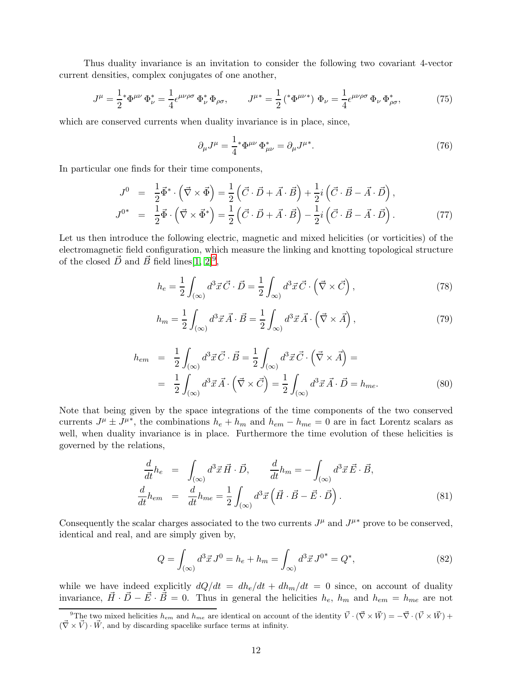Thus duality invariance is an invitation to consider the following two covariant 4-vector current densities, complex conjugates of one another,

$$
J^{\mu} = \frac{1}{2} \ast \Phi^{\mu \nu} \Phi_{\nu}^* = \frac{1}{4} \epsilon^{\mu \nu \rho \sigma} \Phi_{\nu}^* \Phi_{\rho \sigma}, \qquad J^{\mu *} = \frac{1}{2} \left( \ast \Phi^{\mu \nu *} \right) \Phi_{\nu} = \frac{1}{4} \epsilon^{\mu \nu \rho \sigma} \Phi_{\nu} \Phi_{\rho \sigma}^*, \tag{75}
$$

which are conserved currents when duality invariance is in place, since,

$$
\partial_{\mu}J^{\mu} = \frac{1}{4} \ast \Phi^{\mu\nu} \Phi_{\mu\nu}^* = \partial_{\mu}J^{\mu*}.
$$
\n(76)

In particular one finds for their time components,

$$
J^0 = \frac{1}{2}\vec{\Phi}^* \cdot (\vec{\nabla} \times \vec{\Phi}) = \frac{1}{2} (\vec{C} \cdot \vec{D} + \vec{A} \cdot \vec{B}) + \frac{1}{2}i (\vec{C} \cdot \vec{B} - \vec{A} \cdot \vec{D}),
$$
  
\n
$$
J^{0*} = \frac{1}{2}\vec{\Phi} \cdot (\vec{\nabla} \times \vec{\Phi}^*) = \frac{1}{2} (\vec{C} \cdot \vec{D} + \vec{A} \cdot \vec{B}) - \frac{1}{2}i (\vec{C} \cdot \vec{B} - \vec{A} \cdot \vec{D}).
$$
\n(77)

Let us then introduce the following electric, magnetic and mixed helicities (or vorticities) of the electromagnetic field configuration, which measure the linking and knotting topological structure of the closed  $\vec{D}$  and  $\vec{B}$  field lines[\[1,](#page-31-0) [2\]](#page-31-1)<sup>[9](#page-12-0)</sup>,

<span id="page-12-1"></span>
$$
h_e = \frac{1}{2} \int_{(\infty)} d^3 \vec{x} \vec{C} \cdot \vec{D} = \frac{1}{2} \int_{(\infty)} d^3 \vec{x} \vec{C} \cdot (\vec{\nabla} \times \vec{C}), \qquad (78)
$$

<span id="page-12-2"></span>
$$
h_m = \frac{1}{2} \int_{(\infty)} d^3 \vec{x} \, \vec{A} \cdot \vec{B} = \frac{1}{2} \int_{\infty)} d^3 \vec{x} \, \vec{A} \cdot \left( \vec{\nabla} \times \vec{A} \right),\tag{79}
$$

<span id="page-12-3"></span>
$$
h_{em} = \frac{1}{2} \int_{(\infty)} d^3 \vec{x} \cdot \vec{C} \cdot \vec{B} = \frac{1}{2} \int_{(\infty)} d^3 \vec{x} \cdot \vec{C} \cdot (\vec{\nabla} \times \vec{A}) =
$$
  

$$
= \frac{1}{2} \int_{(\infty)} d^3 \vec{x} \cdot (\vec{\nabla} \times \vec{C}) = \frac{1}{2} \int_{(\infty)} d^3 \vec{x} \cdot \vec{A} \cdot \vec{D} = h_{me}.
$$
 (80)

Note that being given by the space integrations of the time components of the two conserved currents  $J^{\mu} \pm J^{\mu*}$ , the combinations  $h_e + h_m$  and  $h_{em} - h_{me} = 0$  are in fact Lorentz scalars as well, when duality invariance is in place. Furthermore the time evolution of these helicities is governed by the relations,

<span id="page-12-4"></span>
$$
\frac{d}{dt}h_e = \int_{(\infty)} d^3 \vec{x} \vec{H} \cdot \vec{D}, \qquad \frac{d}{dt}h_m = -\int_{(\infty)} d^3 \vec{x} \vec{E} \cdot \vec{B},
$$
\n
$$
\frac{d}{dt}h_{em} = \frac{d}{dt}h_{me} = \frac{1}{2} \int_{(\infty)} d^3 \vec{x} \left( \vec{H} \cdot \vec{B} - \vec{E} \cdot \vec{D} \right).
$$
\n(81)

Consequently the scalar charges associated to the two currents  $J^{\mu}$  and  $J^{\mu*}$  prove to be conserved, identical and real, and are simply given by,

$$
Q = \int_{(\infty)} d^3 \vec{x} J^0 = h_e + h_m = \int_{(\infty)} d^3 \vec{x} J^{0^*} = Q^*,
$$
\n(82)

while we have indeed explicitly  $dQ/dt = dh_e/dt + dh_m/dt = 0$  since, on account of duality invariance,  $\vec{H} \cdot \vec{D} - \vec{E} \cdot \vec{B} = 0$ . Thus in general the helicities  $h_e$ ,  $h_m$  and  $h_{em} = h_{me}$  are not

<span id="page-12-0"></span><sup>&</sup>lt;sup>9</sup>The two mixed helicities  $h_{em}$  and  $h_{me}$  are identical on account of the identity  $\vec{V} \cdot (\vec{\nabla} \times \vec{W}) = -\vec{\nabla} \cdot (\vec{V} \times \vec{W}) +$  $(\vec{\nabla} \times \vec{V}) \cdot \vec{W}$ , and by discarding spacelike surface terms at infinity.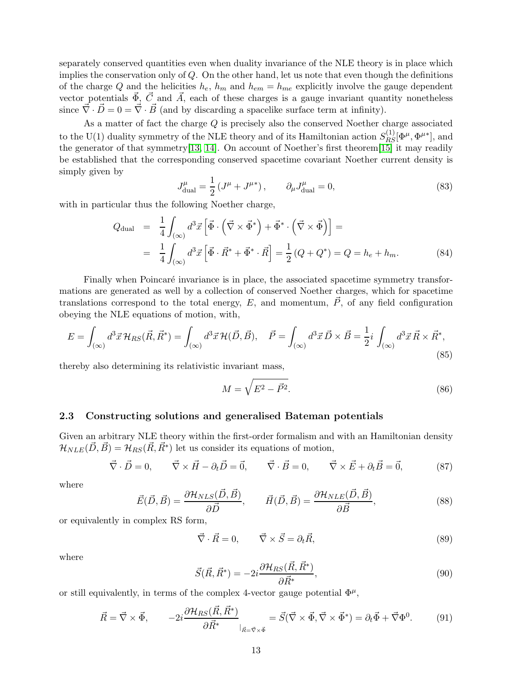separately conserved quantities even when duality invariance of the NLE theory is in place which implies the conservation only of  $Q$ . On the other hand, let us note that even though the definitions of the charge Q and the helicities  $h_e$ ,  $h_m$  and  $h_{em} = h_{me}$  explicitly involve the gauge dependent vector potentials  $\vec{\Phi}$ ,  $\vec{C}$  and  $\vec{A}$ , each of these charges is a gauge invariant quantity nonetheless since  $\vec{\nabla} \cdot \vec{D} = 0 = \vec{\nabla} \cdot \vec{B}$  (and by discarding a spacelike surface term at infinity).

As a matter of fact the charge  $Q$  is precisely also the conserved Noether charge associated to the U(1) duality symmetry of the NLE theory and of its Hamiltonian action  $S^{(1)}_{RS}[\Phi^{\mu}, \Phi^{\mu*}]$ , and the generator of that symmetry<sup>[\[13,](#page-31-12) [14\]](#page-31-13)</sup>. On account of Noether's first theorem<sup>[\[15\]](#page-31-14)</sup> it may readily be established that the corresponding conserved spacetime covariant Noether current density is simply given by

$$
J_{\text{dual}}^{\mu} = \frac{1}{2} \left( J^{\mu} + J^{\mu *} \right), \qquad \partial_{\mu} J_{\text{dual}}^{\mu} = 0,
$$
\n(83)

with in particular thus the following Noether charge,

$$
Q_{\text{dual}} = \frac{1}{4} \int_{(\infty)} d^3 \vec{x} \left[ \vec{\Phi} \cdot (\vec{\nabla} \times \vec{\Phi}^*) + \vec{\Phi}^* \cdot (\vec{\nabla} \times \vec{\Phi}) \right] =
$$
  

$$
= \frac{1}{4} \int_{(\infty)} d^3 \vec{x} \left[ \vec{\Phi} \cdot \vec{R}^* + \vec{\Phi}^* \cdot \vec{R} \right] = \frac{1}{2} (Q + Q^*) = Q = h_e + h_m.
$$
 (84)

Finally when Poincaré invariance is in place, the associated spacetime symmetry transformations are generated as well by a collection of conserved Noether charges, which for spacetime translations correspond to the total energy, E, and momentum,  $\vec{P}$ , of any field configuration obeying the NLE equations of motion, with,

$$
E = \int_{(\infty)} d^3 \vec{x} \mathcal{H}_{RS}(\vec{R}, \vec{R}^*) = \int_{(\infty)} d^3 \vec{x} \mathcal{H}(\vec{D}, \vec{B}), \quad \vec{P} = \int_{(\infty)} d^3 \vec{x} \vec{D} \times \vec{B} = \frac{1}{2} i \int_{(\infty)} d^3 \vec{x} \vec{R} \times \vec{R}^*,
$$
\n(85)

thereby also determining its relativistic invariant mass,

$$
M = \sqrt{E^2 - \vec{P}^2}.\tag{86}
$$

#### 2.3 Constructing solutions and generalised Bateman potentials

Given an arbitrary NLE theory within the first-order formalism and with an Hamiltonian density  $\mathcal{H}_{NLE}(\vec{D}, \vec{B}) = \mathcal{H}_{RS}(\vec{R}, \vec{R}^*)$  let us consider its equations of motion,

$$
\vec{\nabla} \cdot \vec{D} = 0, \qquad \vec{\nabla} \times \vec{H} - \partial_t \vec{D} = \vec{0}, \qquad \vec{\nabla} \cdot \vec{B} = 0, \qquad \vec{\nabla} \times \vec{E} + \partial_t \vec{B} = \vec{0}, \tag{87}
$$

where

$$
\vec{E}(\vec{D}, \vec{B}) = \frac{\partial \mathcal{H}_{NLS}(\vec{D}, \vec{B})}{\partial \vec{D}}, \qquad \vec{H}(\vec{D}, \vec{B}) = \frac{\partial \mathcal{H}_{NLE}(\vec{D}, \vec{B})}{\partial \vec{B}}, \tag{88}
$$

or equivalently in complex RS form,

$$
\vec{\nabla} \cdot \vec{R} = 0, \qquad \vec{\nabla} \times \vec{S} = \partial_t \vec{R}, \tag{89}
$$

where

$$
\vec{S}(\vec{R}, \vec{R}^*) = -2i \frac{\partial \mathcal{H}_{RS}(\vec{R}, \vec{R}^*)}{\partial \vec{R}^*},\tag{90}
$$

or still equivalently, in terms of the complex 4-vector gauge potential  $\Phi^{\mu}$ ,

$$
\vec{R} = \vec{\nabla} \times \vec{\Phi}, \qquad -2i \frac{\partial \mathcal{H}_{RS}(\vec{R}, \vec{R}^*)}{\partial \vec{R}^*} = \vec{S}(\vec{\nabla} \times \vec{\Phi}, \vec{\nabla} \times \vec{\Phi}^*) = \partial_t \vec{\Phi} + \vec{\nabla} \Phi^0. \tag{91}
$$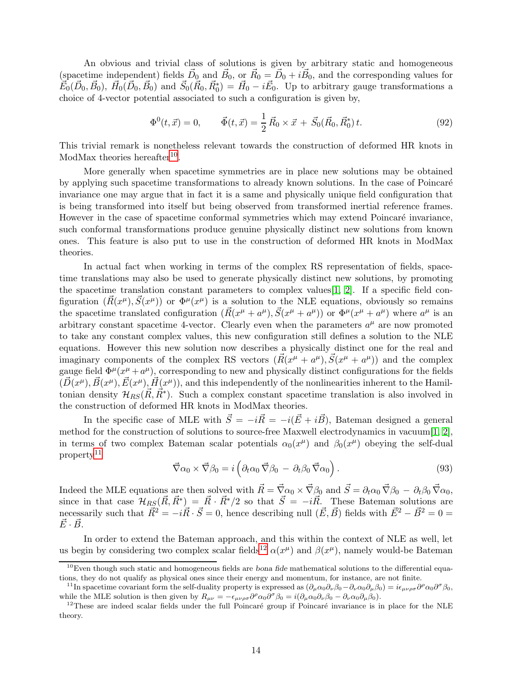An obvious and trivial class of solutions is given by arbitrary static and homogeneous (spacetime independent) fields  $\vec{D}_0$  and  $\vec{B}_0$ , or  $\vec{R}_0 = \vec{D}_0 + i\vec{B}_0$ , and the corresponding values for  $\vec{E}_0(\vec{D}_0, \vec{B}_0)$ ,  $\vec{H}_0(\vec{D}_0, \vec{B}_0)$  and  $\vec{S}_0(\vec{R}_0, \vec{R}_0^*) = \vec{H}_0 - i\vec{E}_0$ . Up to arbitrary gauge transformations a choice of 4-vector potential associated to such a configuration is given by,

$$
\Phi^{0}(t,\vec{x}) = 0, \qquad \vec{\Phi}(t,\vec{x}) = \frac{1}{2}\vec{R}_{0} \times \vec{x} + \vec{S}_{0}(\vec{R}_{0},\vec{R}_{0}^{*})t. \tag{92}
$$

This trivial remark is nonetheless relevant towards the construction of deformed HR knots in ModMax theories hereafter<sup>[10](#page-14-0)</sup>.

More generally when spacetime symmetries are in place new solutions may be obtained by applying such spacetime transformations to already known solutions. In the case of Poincaré invariance one may argue that in fact it is a same and physically unique field configuration that is being transformed into itself but being observed from transformed inertial reference frames. However in the case of spacetime conformal symmetries which may extend Poincaré invariance, such conformal transformations produce genuine physically distinct new solutions from known ones. This feature is also put to use in the construction of deformed HR knots in ModMax theories.

In actual fact when working in terms of the complex RS representation of fields, spacetime translations may also be used to generate physically distinct new solutions, by promoting the spacetime translation constant parameters to complex values[\[1,](#page-31-0) [2\]](#page-31-1). If a specific field configuration  $(\vec{R}(x^{\mu}), \vec{S}(x^{\mu}))$  or  $\Phi^{\mu}(x^{\mu})$  is a solution to the NLE equations, obviously so remains the spacetime translated configuration  $(\vec{R}(x^{\mu} + a^{\mu}), \vec{S}(x^{\mu} + a^{\mu}))$  or  $\Phi^{\mu}(x^{\mu} + a^{\mu})$  where  $a^{\mu}$  is an arbitrary constant spacetime 4-vector. Clearly even when the parameters  $a^{\mu}$  are now promoted to take any constant complex values, this new configuration still defines a solution to the NLE equations. However this new solution now describes a physically distinct one for the real and imaginary components of the complex RS vectors  $(\vec{R}(x^{\mu} + a^{\mu}), \vec{S}(x^{\mu} + a^{\mu}))$  and the complex gauge field  $\Phi^{\mu}(x^{\mu}+a^{\mu})$ , corresponding to new and physically distinct configurations for the fields  $(\vec{D}(x^{\mu}), \vec{B}(x^{\mu}), \vec{E}(x^{\mu}), \vec{H}(x^{\mu}))$ , and this independently of the nonlinearities inherent to the Hamiltonian density  $\mathcal{H}_{RS}(\vec{R}, \vec{R})$ . Such a complex constant spacetime translation is also involved in the construction of deformed HR knots in ModMax theories.

In the specific case of MLE with  $\vec{S} = -i\vec{R} = -i(\vec{E} + i\vec{B})$ , Bateman designed a general method for the construction of solutions to source-free Maxwell electrodynamics in vacuum[\[1,](#page-31-0) [2\]](#page-31-1), in terms of two complex Bateman scalar potentials  $\alpha_0(x^{\mu})$  and  $\beta_0(x^{\mu})$  obeying the self-dual property[11](#page-14-1)

$$
\vec{\nabla}\alpha_0 \times \vec{\nabla}\beta_0 = i \left( \partial_t \alpha_0 \vec{\nabla}\beta_0 - \partial_t \beta_0 \vec{\nabla}\alpha_0 \right). \tag{93}
$$

Indeed the MLE equations are then solved with  $\vec{R} = \vec{\nabla}\alpha_0 \times \vec{\nabla}\beta_0$  and  $\vec{S} = \partial_t\alpha_0 \vec{\nabla}\beta_0 - \partial_t\beta_0 \vec{\nabla}\alpha_0$ , since in that case  $\mathcal{H}_{RS}(\vec{R}, \vec{R}^*) = \vec{R} \cdot \vec{R}^*/2$  so that  $\vec{S} = -i\vec{R}$ . These Bateman solutions are necessarily such that  $\vec{R}^2 = -i\vec{R}\cdot\vec{S} = 0$ , hence describing null  $(\vec{E}, \vec{B})$  fields with  $\vec{E}^2 - \vec{B}^2 = 0 =$  $\vec{E}\cdot\vec{B}$ .

In order to extend the Bateman approach, and this within the context of NLE as well, let us begin by considering two complex scalar fields<sup>[12](#page-14-2)</sup>  $\alpha(x^{\mu})$  and  $\beta(x^{\mu})$ , namely would-be Bateman

<span id="page-14-0"></span> $10$ Even though such static and homogeneous fields are bona fide mathematical solutions to the differential equations, they do not qualify as physical ones since their energy and momentum, for instance, are not finite.

<span id="page-14-1"></span><sup>&</sup>lt;sup>11</sup>In spacetime covariant form the self-duality property is expressed as  $(\partial_\mu \alpha_0 \partial_\nu \beta_0 - \partial_\nu \alpha_0 \partial_\mu \beta_0) = i\epsilon_{\mu\nu\rho\sigma} \partial^\rho \alpha_0 \partial^\sigma \beta_0$ , while the MLE solution is then given by  $R_{\mu\nu} = -\epsilon_{\mu\nu\rho\sigma}\partial^{\rho}\alpha_0\partial^{\sigma}\beta_0 = i(\partial_{\mu}\alpha_0\partial_{\nu}\beta_0 - \partial_{\nu}\alpha_0\partial_{\mu}\beta_0).$ 

<span id="page-14-2"></span> $12$ These are indeed scalar fields under the full Poincaré group if Poincaré invariance is in place for the NLE theory.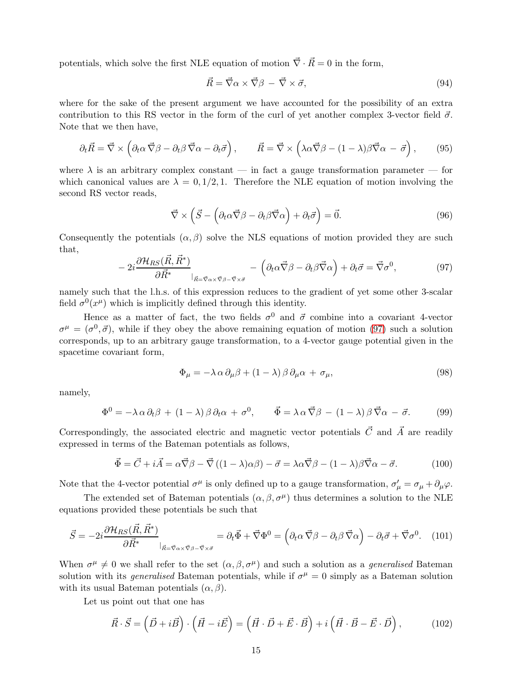potentials, which solve the first NLE equation of motion  $\vec{\nabla} \cdot \vec{R} = 0$  in the form,

$$
\vec{R} = \vec{\nabla}\alpha \times \vec{\nabla}\beta - \vec{\nabla}\times\vec{\sigma},\tag{94}
$$

where for the sake of the present argument we have accounted for the possibility of an extra contribution to this RS vector in the form of the curl of yet another complex 3-vector field  $\vec{\sigma}$ . Note that we then have,

$$
\partial_t \vec{R} = \vec{\nabla} \times \left( \partial_t \alpha \vec{\nabla} \beta - \partial_t \beta \vec{\nabla} \alpha - \partial_t \vec{\sigma} \right), \qquad \vec{R} = \vec{\nabla} \times \left( \lambda \alpha \vec{\nabla} \beta - (1 - \lambda) \beta \vec{\nabla} \alpha - \vec{\sigma} \right), \qquad (95)
$$

where  $\lambda$  is an arbitrary complex constant — in fact a gauge transformation parameter — for which canonical values are  $\lambda = 0.1/2, 1$ . Therefore the NLE equation of motion involving the second RS vector reads,

$$
\vec{\nabla} \times (\vec{S} - (\partial_t \alpha \vec{\nabla} \beta - \partial_t \beta \vec{\nabla} \alpha) + \partial_t \vec{\sigma}) = \vec{0}.
$$
 (96)

Consequently the potentials  $(\alpha, \beta)$  solve the NLS equations of motion provided they are such that,

<span id="page-15-0"></span>
$$
-2i\frac{\partial \mathcal{H}_{RS}(\vec{R},\vec{R}^*)}{\partial \vec{R}^*}\Big|_{\vec{R}=\vec{\nabla}\alpha\times\vec{\nabla}\beta-\vec{\nabla}\times\vec{\sigma}} - \left(\partial_t\alpha\vec{\nabla}\beta - \partial_t\beta\vec{\nabla}\alpha\right) + \partial_t\vec{\sigma} = \vec{\nabla}\sigma^0,
$$
\n(97)

namely such that the l.h.s. of this expression reduces to the gradient of yet some other 3-scalar field  $\sigma^0(x^{\mu})$  which is implicitly defined through this identity.

Hence as a matter of fact, the two fields  $\sigma^0$  and  $\vec{\sigma}$  combine into a covariant 4-vector  $\sigma^{\mu} = (\sigma^0, \vec{\sigma})$ , while if they obey the above remaining equation of motion [\(97\)](#page-15-0) such a solution corresponds, up to an arbitrary gauge transformation, to a 4-vector gauge potential given in the spacetime covariant form,

$$
\Phi_{\mu} = -\lambda \alpha \, \partial_{\mu} \beta + (1 - \lambda) \beta \, \partial_{\mu} \alpha + \sigma_{\mu}, \tag{98}
$$

namely,

$$
\Phi^0 = -\lambda \alpha \partial_t \beta + (1 - \lambda) \beta \partial_t \alpha + \sigma^0, \qquad \vec{\Phi} = \lambda \alpha \vec{\nabla} \beta - (1 - \lambda) \beta \vec{\nabla} \alpha - \vec{\sigma}. \tag{99}
$$

Correspondingly, the associated electric and magnetic vector potentials  $\vec{C}$  and  $\vec{A}$  are readily expressed in terms of the Bateman potentials as follows,

$$
\vec{\Phi} = \vec{C} + i\vec{A} = \alpha \vec{\nabla}\beta - \vec{\nabla}\left((1-\lambda)\alpha\beta\right) - \vec{\sigma} = \lambda \alpha \vec{\nabla}\beta - (1-\lambda)\beta \vec{\nabla}\alpha - \vec{\sigma}.\tag{100}
$$

Note that the 4-vector potential  $\sigma^{\mu}$  is only defined up to a gauge transformation,  $\sigma'_{\mu} = \sigma_{\mu} + \partial_{\mu}\varphi$ .

The extended set of Bateman potentials  $(\alpha, \beta, \sigma^{\mu})$  thus determines a solution to the NLE equations provided these potentials be such that

<span id="page-15-1"></span>
$$
\vec{S} = -2i \frac{\partial \mathcal{H}_{RS}(\vec{R}, \vec{R}^*)}{\partial \vec{R}^*} \Big|_{\vec{R} = \vec{\nabla}\alpha \times \vec{\nabla}\beta - \vec{\nabla}\times\vec{\sigma}} = \partial_t \vec{\Phi} + \vec{\nabla}\Phi^0 = \left(\partial_t \alpha \vec{\nabla}\beta - \partial_t \beta \vec{\nabla}\alpha\right) - \partial_t \vec{\sigma} + \vec{\nabla}\sigma^0. \tag{101}
$$

When  $\sigma^{\mu} \neq 0$  we shall refer to the set  $(\alpha, \beta, \sigma^{\mu})$  and such a solution as a *generalised* Bateman solution with its *generalised* Bateman potentials, while if  $\sigma^{\mu} = 0$  simply as a Bateman solution with its usual Bateman potentials  $(\alpha, \beta)$ .

Let us point out that one has

$$
\vec{R} \cdot \vec{S} = (\vec{D} + i\vec{B}) \cdot (\vec{H} - i\vec{E}) = (\vec{H} \cdot \vec{D} + \vec{E} \cdot \vec{B}) + i(\vec{H} \cdot \vec{B} - \vec{E} \cdot \vec{D}), \quad (102)
$$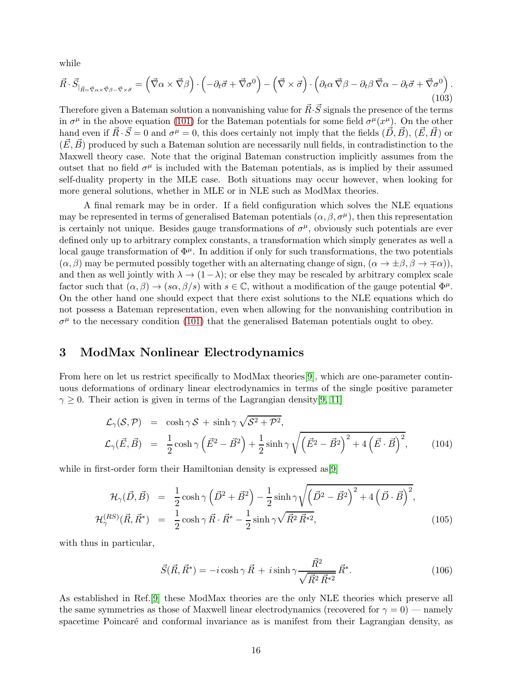while

$$
\vec{R} \cdot \vec{S}_{|\vec{R} = \vec{\nabla}\alpha \times \vec{\nabla}\beta - \vec{\nabla}\times\vec{\sigma}} = (\vec{\nabla}\alpha \times \vec{\nabla}\beta) \cdot (-\partial_t \vec{\sigma} + \vec{\nabla}\sigma^0) - (\vec{\nabla}\times\vec{\sigma}) \cdot (\partial_t \alpha \vec{\nabla}\beta - \partial_t \beta \vec{\nabla}\alpha - \partial_t \vec{\sigma} + \vec{\nabla}\sigma^0). \tag{103}
$$

Therefore given a Bateman solution a nonvanishing value for  $\vec{R}\cdot\vec{S}$  signals the presence of the terms in  $\sigma^{\mu}$  in the above equation [\(101\)](#page-15-1) for the Bateman potentials for some field  $\sigma^{\mu}(x^{\mu})$ . On the other hand even if  $\vec{R} \cdot \vec{S} = 0$  and  $\sigma^{\mu} = 0$ , this does certainly not imply that the fields  $(\vec{D}, \vec{B})$ ,  $(\vec{E}, \vec{H})$  or  $(\vec{E}, \vec{B})$  produced by such a Bateman solution are necessarily null fields, in contradistinction to the Maxwell theory case. Note that the original Bateman construction implicitly assumes from the outset that no field  $\sigma^{\mu}$  is included with the Bateman potentials, as is implied by their assumed self-duality property in the MLE case. Both situations may occur however, when looking for more general solutions, whether in MLE or in NLE such as ModMax theories.

A final remark may be in order. If a field configuration which solves the NLE equations may be represented in terms of generalised Bateman potentials  $(\alpha, \beta, \sigma^{\mu})$ , then this representation is certainly not unique. Besides gauge transformations of  $\sigma^{\mu}$ , obviously such potentials are ever defined only up to arbitrary complex constants, a transformation which simply generates as well a local gauge transformation of  $\Phi^{\mu}$ . In addition if only for such transformations, the two potentials  $(\alpha, \beta)$  may be permuted possibly together with an alternating change of sign,  $(\alpha \to \pm \beta, \beta \to \mp \alpha)$ ), and then as well jointly with  $\lambda \to (1-\lambda)$ ; or else they may be rescaled by arbitrary complex scale factor such that  $(\alpha, \beta) \to (s\alpha, \beta/s)$  with  $s \in \mathbb{C}$ , without a modification of the gauge potential  $\Phi^{\mu}$ . On the other hand one should expect that there exist solutions to the NLE equations which do not possess a Bateman representation, even when allowing for the nonvanishing contribution in  $\sigma^{\mu}$  to the necessary condition [\(101\)](#page-15-1) that the generalised Bateman potentials ought to obey.

## <span id="page-16-0"></span>3 ModMax Nonlinear Electrodynamics

From here on let us restrict specifically to ModMax theories[\[9\]](#page-31-8), which are one-parameter continuous deformations of ordinary linear electrodynamics in terms of the single positive parameter  $\gamma \geq 0$ . Their action is given in terms of the Lagrangian density [\[9,](#page-31-8) [11\]](#page-31-10)

$$
\mathcal{L}_{\gamma}(\mathcal{S}, \mathcal{P}) = \cosh \gamma \mathcal{S} + \sinh \gamma \sqrt{\mathcal{S}^2 + \mathcal{P}^2},
$$
\n
$$
\mathcal{L}_{\gamma}(\vec{E}, \vec{B}) = \frac{1}{2} \cosh \gamma \left(\vec{E}^2 - \vec{B}^2\right) + \frac{1}{2} \sinh \gamma \sqrt{\left(\vec{E}^2 - \vec{B}^2\right)^2 + 4\left(\vec{E} \cdot \vec{B}\right)^2},
$$
\n(104)

while in first-order form their Hamiltonian density is expressed as [\[9\]](#page-31-8)

$$
\mathcal{H}_{\gamma}(\vec{D}, \vec{B}) = \frac{1}{2} \cosh \gamma \left( \vec{D}^2 + \vec{B}^2 \right) - \frac{1}{2} \sinh \gamma \sqrt{\left( \vec{D}^2 - \vec{B}^2 \right)^2 + 4 \left( \vec{D} \cdot \vec{B} \right)^2},
$$
  

$$
\mathcal{H}_{\gamma}^{(RS)}(\vec{R}, \vec{R}^*) = \frac{1}{2} \cosh \gamma \vec{R} \cdot \vec{R}^* - \frac{1}{2} \sinh \gamma \sqrt{\vec{R}^2 \vec{R}^{*2}},
$$
(105)

with thus in particular,

<span id="page-16-1"></span>
$$
\vec{S}(\vec{R}, \vec{R}^*) = -i \cosh \gamma \vec{R} + i \sinh \gamma \frac{\vec{R}^2}{\sqrt{\vec{R}^2 \vec{R}^{*2}}} \vec{R}^*.
$$
\n(106)

As established in Ref.[\[9\]](#page-31-8) these ModMax theories are the only NLE theories which preserve all the same symmetries as those of Maxwell linear electrodynamics (recovered for  $\gamma = 0$ ) — namely spacetime Poincaré and conformal invariance as is manifest from their Lagrangian density, as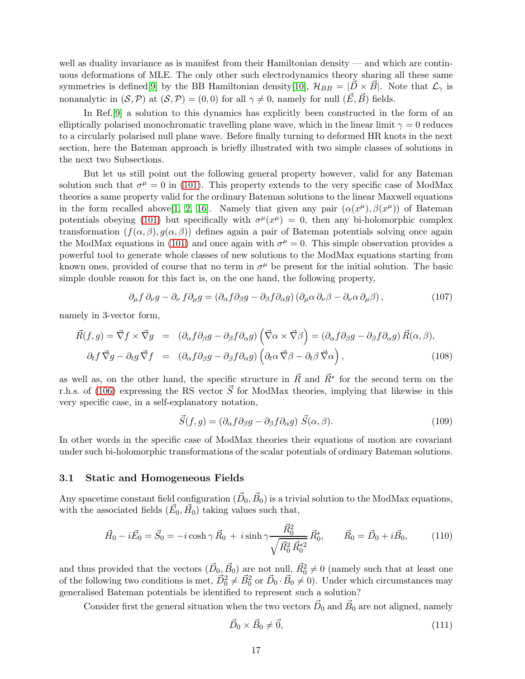well as duality invariance as is manifest from their Hamiltonian density — and which are continuous deformations of MLE. The only other such electrodynamics theory sharing all these same symmetries is defined[\[9\]](#page-31-8) by the BB Hamiltonian density[\[10\]](#page-31-9),  $\mathcal{H}_{BB} = |D \times B|$ . Note that  $\mathcal{L}_{\gamma}$  is nonanalytic in  $(S, P)$  at  $(S, P) = (0, 0)$  for all  $\gamma \neq 0$ , namely for null  $(\vec{E}, \vec{B})$  fields.

In Ref.[\[9\]](#page-31-8) a solution to this dynamics has explicitly been constructed in the form of an elliptically polarised monochromatic travelling plane wave, which in the linear limit  $\gamma = 0$  reduces to a circularly polarised null plane wave. Before finally turning to deformed HR knots in the next section, here the Bateman approach is briefly illustrated with two simple classes of solutions in the next two Subsections.

But let us still point out the following general property however, valid for any Bateman solution such that  $\sigma^{\mu} = 0$  in [\(101\)](#page-15-1). This property extends to the very specific case of ModMax theories a same property valid for the ordinary Bateman solutions to the linear Maxwell equations in the form recalled above[\[1,](#page-31-0) [2,](#page-31-1) [16\]](#page-31-15). Namely that given any pair  $(\alpha(x^{\mu}), \beta(x^{\mu}))$  of Bateman potentials obeying [\(101\)](#page-15-1) but specifically with  $\sigma^{\mu}(x^{\mu}) = 0$ , then any bi-holomorphic complex transformation  $(f(\alpha, \beta), q(\alpha, \beta))$  defines again a pair of Bateman potentials solving once again the ModMax equations in [\(101\)](#page-15-1) and once again with  $\sigma^{\mu} = 0$ . This simple observation provides a powerful tool to generate whole classes of new solutions to the ModMax equations starting from known ones, provided of course that no term in  $\sigma^{\mu}$  be present for the initial solution. The basic simple double reason for this fact is, on the one hand, the following property,

$$
\partial_{\mu} f \, \partial_{\nu} g - \partial_{\nu} f \partial_{\mu} g = \left( \partial_{\alpha} f \partial_{\beta} g - \partial_{\beta} f \partial_{\alpha} g \right) \left( \partial_{\mu} \alpha \, \partial_{\nu} \beta - \partial_{\nu} \alpha \, \partial_{\mu} \beta \right), \tag{107}
$$

namely in 3-vector form,

$$
\vec{R}(f,g) = \vec{\nabla}f \times \vec{\nabla}g = (\partial_{\alpha}f\partial_{\beta}g - \partial_{\beta}f\partial_{\alpha}g) (\vec{\nabla}\alpha \times \vec{\nabla}\beta) = (\partial_{\alpha}f\partial_{\beta}g - \partial_{\beta}f\partial_{\alpha}g) \vec{R}(\alpha,\beta),
$$
  

$$
\partial_{t}f \vec{\nabla}g - \partial_{t}g \vec{\nabla}f = (\partial_{\alpha}f\partial_{\beta}g - \partial_{\beta}f\partial_{\alpha}g) (\partial_{t}\alpha \vec{\nabla}\beta - \partial_{t}\beta \vec{\nabla}\alpha),
$$
(108)

as well as, on the other hand, the specific structure in  $\vec{R}$  and  $\vec{R}^*$  for the second term on the r.h.s. of [\(106\)](#page-16-1) expressing the RS vector  $\vec{S}$  for ModMax theories, implying that likewise in this very specific case, in a self-explanatory notation,

$$
\vec{S}(f,g) = (\partial_{\alpha} f \partial_{\beta} g - \partial_{\beta} f \partial_{\alpha} g) \ \vec{S}(\alpha,\beta). \tag{109}
$$

In other words in the specific case of ModMax theories their equations of motion are covariant under such bi-holomorphic transformations of the scalar potentials of ordinary Bateman solutions.

#### <span id="page-17-0"></span>3.1 Static and Homogeneous Fields

Any spacetime constant field configuration  $(\vec{D}_0, \vec{B}_0)$  is a trivial solution to the ModMax equations, with the associated fields  $(\vec{E}_0, \vec{H}_0)$  taking values such that,

$$
\vec{H}_0 - i\vec{E}_0 = \vec{S}_0 = -i\cosh\gamma \vec{R}_0 + i\sinh\gamma \frac{\vec{R}_0^2}{\sqrt{\vec{R}_0^2 \vec{R}_0^{*2}}} \vec{R}_0^*, \qquad \vec{R}_0 = \vec{D}_0 + i\vec{B}_0, \tag{110}
$$

and thus provided that the vectors  $(\vec{D}_0, \vec{B}_0)$  are not null,  $\vec{R}_0^2 \neq 0$  (namely such that at least one of the following two conditions is met,  $\vec{D}_0^2 \neq \vec{B}_0^2$  or  $\vec{D}_0 \cdot \vec{B}_0 \neq 0$ ). Under which circumstances may generalised Bateman potentials be identified to represent such a solution?

Consider first the general situation when the two vectors  $\vec{D}_0$  and  $\vec{B}_0$  are not aligned, namely

$$
\vec{D}_0 \times \vec{B}_0 \neq \vec{0},\tag{111}
$$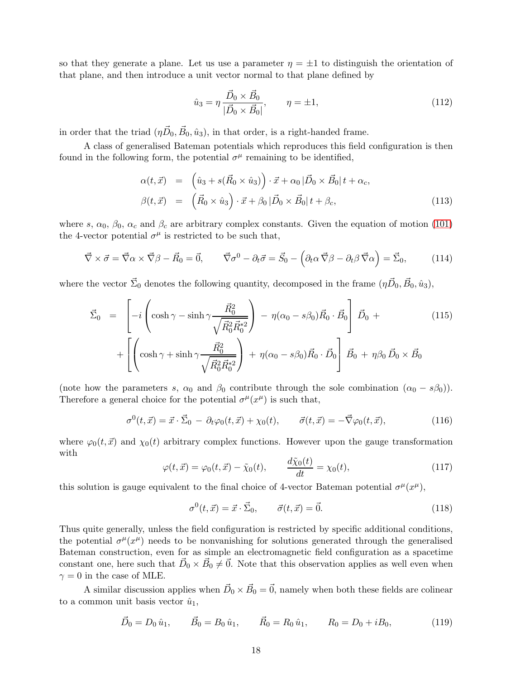so that they generate a plane. Let us use a parameter  $\eta = \pm 1$  to distinguish the orientation of that plane, and then introduce a unit vector normal to that plane defined by

$$
\hat{u}_3 = \eta \frac{\vec{D}_0 \times \vec{B}_0}{|\vec{D}_0 \times \vec{B}_0|}, \qquad \eta = \pm 1,
$$
\n(112)

in order that the triad  $(\eta \vec{D}_0, \vec{B}_0, \hat{u}_3)$ , in that order, is a right-handed frame.

A class of generalised Bateman potentials which reproduces this field configuration is then found in the following form, the potential  $\sigma^{\mu}$  remaining to be identified,

$$
\alpha(t, \vec{x}) = \left(\hat{u}_3 + s(\vec{R}_0 \times \hat{u}_3)\right) \cdot \vec{x} + \alpha_0 |\vec{D}_0 \times \vec{B}_0| t + \alpha_c,
$$
  

$$
\beta(t, \vec{x}) = \left(\vec{R}_0 \times \hat{u}_3\right) \cdot \vec{x} + \beta_0 |\vec{D}_0 \times \vec{B}_0| t + \beta_c,
$$
 (113)

where s,  $\alpha_0$ ,  $\beta_0$ ,  $\alpha_c$  and  $\beta_c$  are arbitrary complex constants. Given the equation of motion [\(101\)](#page-15-1) the 4-vector potential  $\sigma^{\mu}$  is restricted to be such that,

$$
\vec{\nabla} \times \vec{\sigma} = \vec{\nabla}\alpha \times \vec{\nabla}\beta - \vec{R}_0 = \vec{0}, \qquad \vec{\nabla}\sigma^0 - \partial_t\vec{\sigma} = \vec{S}_0 - \left(\partial_t\alpha \vec{\nabla}\beta - \partial_t\beta \vec{\nabla}\alpha\right) = \vec{\Sigma}_0, \tag{114}
$$

where the vector  $\vec{\Sigma}_0$  denotes the following quantity, decomposed in the frame  $(\eta \vec{D}_0, \vec{B}_0, \hat{u}_3)$ ,

$$
\vec{\Sigma}_0 = \left[ -i \left( \cosh \gamma - \sinh \gamma \frac{\vec{R}_0^2}{\sqrt{\vec{R}_0^2 \vec{R}_0^{*2}}} \right) - \eta (\alpha_0 - s\beta_0) \vec{R}_0 \cdot \vec{B}_0 \right] \vec{D}_0 + + \left[ \left( \cosh \gamma + \sinh \gamma \frac{\vec{R}_0^2}{\sqrt{\vec{R}_0^2 \vec{R}_0^{*2}}} \right) + \eta (\alpha_0 - s\beta_0) \vec{R}_0 \cdot \vec{D}_0 \right] \vec{B}_0 + \eta \beta_0 \vec{D}_0 \times \vec{B}_0
$$
\n(115)

(note how the parameters s,  $\alpha_0$  and  $\beta_0$  contribute through the sole combination  $(\alpha_0 - s\beta_0)$ ). Therefore a general choice for the potential  $\sigma^{\mu}(x^{\mu})$  is such that,

$$
\sigma^{0}(t,\vec{x}) = \vec{x} \cdot \vec{\Sigma}_{0} - \partial_{t} \varphi_{0}(t,\vec{x}) + \chi_{0}(t), \qquad \vec{\sigma}(t,\vec{x}) = -\vec{\nabla} \varphi_{0}(t,\vec{x}), \qquad (116)
$$

where  $\varphi_0(t, \vec{x})$  and  $\chi_0(t)$  arbitrary complex functions. However upon the gauge transformation with

$$
\varphi(t,\vec{x}) = \varphi_0(t,\vec{x}) - \tilde{\chi}_0(t), \qquad \frac{d\tilde{\chi}_0(t)}{dt} = \chi_0(t), \qquad (117)
$$

this solution is gauge equivalent to the final choice of 4-vector Bateman potential  $\sigma^{\mu}(x^{\mu}),$ 

$$
\sigma^0(t, \vec{x}) = \vec{x} \cdot \vec{\Sigma}_0, \qquad \vec{\sigma}(t, \vec{x}) = \vec{0}. \tag{118}
$$

Thus quite generally, unless the field configuration is restricted by specific additional conditions, the potential  $\sigma^{\mu}(x^{\mu})$  needs to be nonvanishing for solutions generated through the generalised Bateman construction, even for as simple an electromagnetic field configuration as a spacetime constant one, here such that  $\vec{D}_0 \times \vec{B}_0 \neq \vec{0}$ . Note that this observation applies as well even when  $\gamma = 0$  in the case of MLE.

A similar discussion applies when  $\vec{D}_0 \times \vec{B}_0 = \vec{0}$ , namely when both these fields are colinear to a common unit basis vector  $\hat{u}_1$ ,

$$
\vec{D}_0 = D_0 \hat{u}_1, \qquad \vec{B}_0 = B_0 \hat{u}_1, \qquad \vec{R}_0 = R_0 \hat{u}_1, \qquad R_0 = D_0 + iB_0,\tag{119}
$$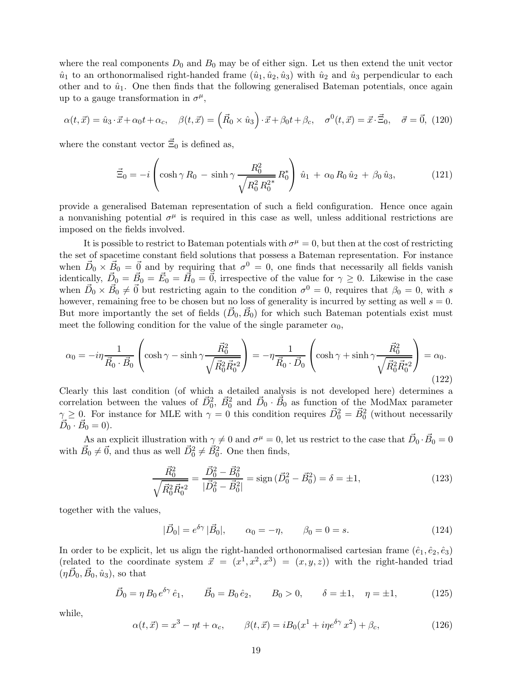where the real components  $D_0$  and  $B_0$  may be of either sign. Let us then extend the unit vector  $\hat{u}_1$  to an orthonormalised right-handed frame  $(\hat{u}_1, \hat{u}_2, \hat{u}_3)$  with  $\hat{u}_2$  and  $\hat{u}_3$  perpendicular to each other and to  $\hat{u}_1$ . One then finds that the following generalised Bateman potentials, once again up to a gauge transformation in  $\sigma^{\mu}$ ,

$$
\alpha(t,\vec{x}) = \hat{u}_3 \cdot \vec{x} + \alpha_0 t + \alpha_c, \quad \beta(t,\vec{x}) = \left(\vec{R}_0 \times \hat{u}_3\right) \cdot \vec{x} + \beta_0 t + \beta_c, \quad \sigma^0(t,\vec{x}) = \vec{x} \cdot \vec{\Xi}_0, \quad \vec{\sigma} = \vec{0}, \tag{120}
$$

where the constant vector  $\vec{\Xi}_0$  is defined as,

$$
\vec{\Xi}_0 = -i \left( \cosh \gamma R_0 - \sinh \gamma \frac{R_0^2}{\sqrt{R_0^2 R_0^2}} R_0^* \right) \hat{u}_1 + \alpha_0 R_0 \hat{u}_2 + \beta_0 \hat{u}_3, \tag{121}
$$

provide a generalised Bateman representation of such a field configuration. Hence once again a nonvanishing potential  $\sigma^{\mu}$  is required in this case as well, unless additional restrictions are imposed on the fields involved.

It is possible to restrict to Bateman potentials with  $\sigma^{\mu} = 0$ , but then at the cost of restricting the set of spacetime constant field solutions that possess a Bateman representation. For instance when  $\vec{D}_0 \times \vec{B}_0 = \vec{0}$  and by requiring that  $\sigma^0 = 0$ , one finds that necessarily all fields vanish identically,  $\vec{D}_0 = \vec{B}_0 = \vec{E}_0 = \vec{H}_0 = \vec{0}$ , irrespective of the value for  $\gamma \geq 0$ . Likewise in the case when  $\vec{D}_0 \times \vec{B}_0 \neq \vec{0}$  but restricting again to the condition  $\sigma^0 = 0$ , requires that  $\beta_0 = 0$ , with s however, remaining free to be chosen but no loss of generality is incurred by setting as well  $s = 0$ . But more importantly the set of fields  $(\vec{D}_0, \vec{B}_0)$  for which such Bateman potentials exist must meet the following condition for the value of the single parameter  $\alpha_0$ ,

$$
\alpha_0 = -i\eta \frac{1}{\vec{R}_0 \cdot \vec{B}_0} \left( \cosh \gamma - \sinh \gamma \frac{\vec{R}_0^2}{\sqrt{\vec{R}_0^2 \vec{R}_0^{*2}}} \right) = -\eta \frac{1}{\vec{R}_0 \cdot \vec{D}_0} \left( \cosh \gamma + \sinh \gamma \frac{\vec{R}_0^2}{\sqrt{\vec{R}_0^2 \vec{R}_0^{*2}}} \right) = \alpha_0.
$$
\n(122)

Clearly this last condition (of which a detailed analysis is not developed here) determines a correlation between the values of  $\vec{D}_0^2$ ,  $\vec{B}_0^2$  and  $\vec{D}_0 \cdot \vec{B}_0$  as function of the ModMax parameter  $\gamma \geq 0$ . For instance for MLE with  $\gamma = 0$  this condition requires  $\vec{D}_0^2 = \vec{B}_0^2$  (without necessarily  $\vec{D}_0 \cdot \vec{B}_0 = 0$ ).

As an explicit illustration with  $\gamma \neq 0$  and  $\sigma^{\mu} = 0$ , let us restrict to the case that  $\vec{D}_0 \cdot \vec{B}_0 = 0$ with  $\vec{B}_0 \neq \vec{0}$ , and thus as well  $\vec{D}_0^2 \neq \vec{B}_0^2$ . One then finds,

$$
\frac{\vec{R}_0^2}{\sqrt{\vec{R}_0^2 \vec{R}_0^{*2}}} = \frac{\vec{D}_0^2 - \vec{B}_0^2}{|\vec{D}_0^2 - \vec{B}_0^2|} = \text{sign}\,(\vec{D}_0^2 - \vec{B}_0^2) = \delta = \pm 1,\tag{123}
$$

together with the values,

$$
|\vec{D}_0| = e^{\delta \gamma} |\vec{B}_0|, \qquad \alpha_0 = -\eta, \qquad \beta_0 = 0 = s.
$$
 (124)

In order to be explicit, let us align the right-handed orthonormalised cartesian frame  $(\hat{e}_1, \hat{e}_2, \hat{e}_3)$ (related to the coordinate system  $\vec{x} = (x^1, x^2, x^3) = (x, y, z)$ ) with the right-handed triad  $(\eta \vec{D}_0, \vec{B}_0, \hat{u}_3)$ , so that

$$
\vec{D}_0 = \eta \, B_0 \, e^{\delta \gamma} \, \hat{e}_1, \qquad \vec{B}_0 = B_0 \, \hat{e}_2, \qquad B_0 > 0, \qquad \delta = \pm 1, \quad \eta = \pm 1,\tag{125}
$$

while,

<span id="page-19-0"></span>
$$
\alpha(t, \vec{x}) = x^3 - \eta t + \alpha_c, \qquad \beta(t, \vec{x}) = iB_0(x^1 + i\eta e^{\delta \gamma} x^2) + \beta_c,
$$
 (126)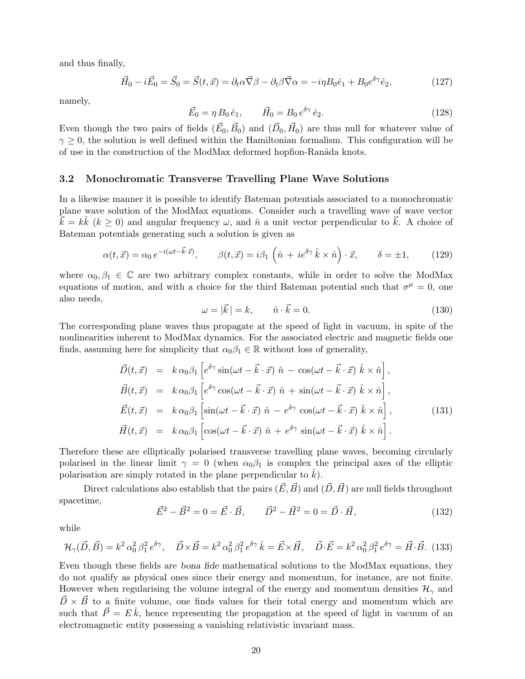and thus finally,

$$
\vec{H}_0 - i\vec{E}_0 = \vec{S}_0 = \vec{S}(t, \vec{x}) = \partial_t \alpha \vec{\nabla} \beta - \partial_t \beta \vec{\nabla} \alpha = -i\eta B_0 \hat{e}_1 + B_0 e^{\delta \gamma} \hat{e}_2,\tag{127}
$$

namely,

$$
\vec{E}_0 = \eta \, B_0 \, \hat{e}_1, \qquad \vec{H}_0 = B_0 \, e^{\delta \gamma} \, \hat{e}_2. \tag{128}
$$

Even though the two pairs of fields  $(\vec{E}_0, \vec{B}_0)$  and  $(\vec{D}_0, \vec{H}_0)$  are thus null for whatever value of  $\gamma \geq 0$ , the solution is well defined within the Hamiltonian formalism. This configuration will be of use in the construction of the ModMax deformed hopfion-Ranãda knots.

#### <span id="page-20-0"></span>3.2 Monochromatic Transverse Travelling Plane Wave Solutions

In a likewise manner it is possible to identify Bateman potentials associated to a monochromatic plane wave solution of the ModMax equations. Consider such a travelling wave of wave vector  $\vec{k} = k\hat{k}$  ( $k \geq 0$ ) and angular frequency  $\omega$ , and  $\hat{n}$  a unit vector perpendicular to  $\vec{k}$ . A choice of Bateman potentials generating such a solution is given as

$$
\alpha(t, \vec{x}) = \alpha_0 e^{-i(\omega t - \vec{k} \cdot \vec{x})}, \qquad \beta(t, \vec{x}) = i\beta_1 \left(\hat{n} + ie^{\delta \gamma} \hat{k} \times \hat{n}\right) \cdot \vec{x}, \qquad \delta = \pm 1, \tag{129}
$$

where  $\alpha_0, \beta_1 \in \mathbb{C}$  are two arbitrary complex constants, while in order to solve the ModMax equations of motion, and with a choice for the third Bateman potential such that  $\sigma^{\mu} = 0$ , one also needs,

$$
\omega = |\vec{k}| = k, \qquad \hat{n} \cdot \vec{k} = 0. \tag{130}
$$

The corresponding plane waves thus propagate at the speed of light in vacuum, in spite of the nonlinearities inherent to ModMax dynamics. For the associated electric and magnetic fields one finds, assuming here for simplicity that  $\alpha_0\beta_1 \in \mathbb{R}$  without loss of generality,

$$
\vec{D}(t, \vec{x}) = k \alpha_0 \beta_1 \left[ e^{\delta \gamma} \sin(\omega t - \vec{k} \cdot \vec{x}) \hat{n} - \cos(\omega t - \vec{k} \cdot \vec{x}) \hat{k} \times \hat{n} \right],
$$
\n
$$
\vec{B}(t, \vec{x}) = k \alpha_0 \beta_1 \left[ e^{\delta \gamma} \cos(\omega t - \vec{k} \cdot \vec{x}) \hat{n} + \sin(\omega t - \vec{k} \cdot \vec{x}) \hat{k} \times \hat{n} \right],
$$
\n
$$
\vec{E}(t, \vec{x}) = k \alpha_0 \beta_1 \left[ \sin(\omega t - \vec{k} \cdot \vec{x}) \hat{n} - e^{\delta \gamma} \cos(\omega t - \vec{k} \cdot \vec{x}) \hat{k} \times \hat{n} \right],
$$
\n
$$
\vec{H}(t, \vec{x}) = k \alpha_0 \beta_1 \left[ \cos(\omega t - \vec{k} \cdot \vec{x}) \hat{n} + e^{\delta \gamma} \sin(\omega t - \vec{k} \cdot \vec{x}) \hat{k} \times \hat{n} \right].
$$
\n(131)

Therefore these are elliptically polarised transverse travelling plane waves, becoming circularly polarised in the linear limit  $\gamma = 0$  (when  $\alpha_0 \beta_1$  is complex the principal axes of the elliptic polarisation are simply rotated in the plane perpendicular to  $\hat{k}$ ).

Direct calculations also establish that the pairs  $(\vec{E}, \vec{B})$  and  $(\vec{D}, \vec{H})$  are null fields throughout spacetime,

$$
\vec{E}^2 - \vec{B}^2 = 0 = \vec{E} \cdot \vec{B}, \qquad \vec{D}^2 - \vec{H}^2 = 0 = \vec{D} \cdot \vec{H}, \qquad (132)
$$

while

$$
\mathcal{H}_{\gamma}(\vec{D}, \vec{B}) = k^2 \alpha_0^2 \beta_1^2 e^{\delta \gamma}, \quad \vec{D} \times \vec{B} = k^2 \alpha_0^2 \beta_1^2 e^{\delta \gamma} \hat{k} = \vec{E} \times \vec{H}, \quad \vec{D} \cdot \vec{E} = k^2 \alpha_0^2 \beta_1^2 e^{\delta \gamma} = \vec{H} \cdot \vec{B}. \tag{133}
$$

Even though these fields are *bona fide* mathematical solutions to the ModMax equations, they do not qualify as physical ones since their energy and momentum, for instance, are not finite. However when regularising the volume integral of the energy and momentum densities  $\mathcal{H}_{\gamma}$  and  $\vec{D} \times \vec{B}$  to a finite volume, one finds values for their total energy and momentum which are such that  $\vec{P} = E \hat{k}$ , hence representing the propagation at the speed of light in vacuum of an electromagnetic entity possessing a vanishing relativistic invariant mass.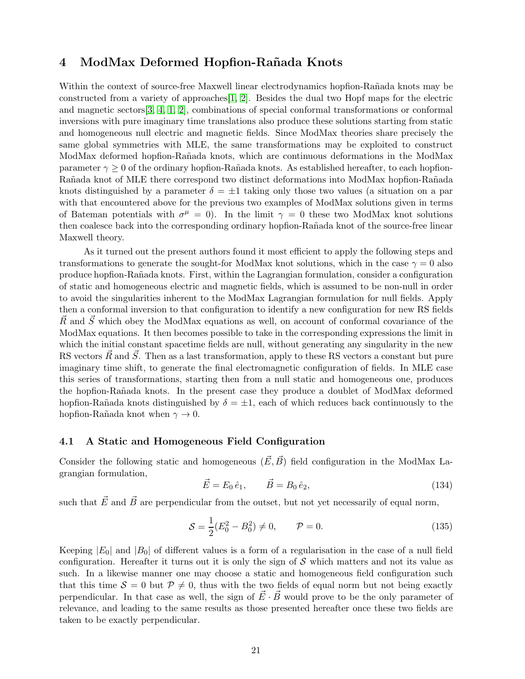## <span id="page-21-0"></span>4 ModMax Deformed Hopfion-Rañada Knots

Within the context of source-free Maxwell linear electrodynamics hopfion-Rañada knots may be constructed from a variety of approaches[\[1,](#page-31-0) [2\]](#page-31-1). Besides the dual two Hopf maps for the electric and magnetic sectors[\[3,](#page-31-2) [4,](#page-31-3) [1,](#page-31-0) [2\]](#page-31-1), combinations of special conformal transformations or conformal inversions with pure imaginary time translations also produce these solutions starting from static and homogeneous null electric and magnetic fields. Since ModMax theories share precisely the same global symmetries with MLE, the same transformations may be exploited to construct ModMax deformed hopfion-Rañada knots, which are continuous deformations in the ModMax parameter  $\gamma \geq 0$  of the ordinary hopfion-Rañada knots. As established hereafter, to each hopfion-Rañada knot of MLE there correspond two distinct deformations into ModMax hopfion-Rañada knots distinguished by a parameter  $\delta = \pm 1$  taking only those two values (a situation on a par with that encountered above for the previous two examples of ModMax solutions given in terms of Bateman potentials with  $\sigma^{\mu} = 0$ ). In the limit  $\gamma = 0$  these two ModMax knot solutions then coalesce back into the corresponding ordinary hopfion-Rañada knot of the source-free linear Maxwell theory.

As it turned out the present authors found it most efficient to apply the following steps and transformations to generate the sought-for ModMax knot solutions, which in the case  $\gamma = 0$  also produce hopfion-Ra˜nada knots. First, within the Lagrangian formulation, consider a configuration of static and homogeneous electric and magnetic fields, which is assumed to be non-null in order to avoid the singularities inherent to the ModMax Lagrangian formulation for null fields. Apply then a conformal inversion to that configuration to identify a new configuration for new RS fields  $\vec{R}$  and  $\vec{S}$  which obey the ModMax equations as well, on account of conformal covariance of the ModMax equations. It then becomes possible to take in the corresponding expressions the limit in which the initial constant spacetime fields are null, without generating any singularity in the new RS vectors  $\vec{R}$  and  $\vec{S}$ . Then as a last transformation, apply to these RS vectors a constant but pure imaginary time shift, to generate the final electromagnetic configuration of fields. In MLE case this series of transformations, starting then from a null static and homogeneous one, produces the hopfion-Ra˜nada knots. In the present case they produce a doublet of ModMax deformed hopfion-Rañada knots distinguished by  $\delta = \pm 1$ , each of which reduces back continuously to the hopfion-Rañada knot when  $\gamma \to 0$ .

### 4.1 A Static and Homogeneous Field Configuration

Consider the following static and homogeneous  $(\vec{E}, \vec{B})$  field configuration in the ModMax Lagrangian formulation,

$$
\vec{E} = E_0 \,\hat{e}_1, \qquad \vec{B} = B_0 \,\hat{e}_2,\tag{134}
$$

such that  $\vec{E}$  and  $\vec{B}$  are perpendicular from the outset, but not yet necessarily of equal norm,

$$
S = \frac{1}{2}(E_0^2 - B_0^2) \neq 0, \qquad \mathcal{P} = 0.
$$
 (135)

Keeping  $|E_0|$  and  $|B_0|$  of different values is a form of a regularisation in the case of a null field configuration. Hereafter it turns out it is only the sign of  $S$  which matters and not its value as such. In a likewise manner one may choose a static and homogeneous field configuration such that this time  $S = 0$  but  $P \neq 0$ , thus with the two fields of equal norm but not being exactly perpendicular. In that case as well, the sign of  $\vec{E} \cdot \vec{B}$  would prove to be the only parameter of relevance, and leading to the same results as those presented hereafter once these two fields are taken to be exactly perpendicular.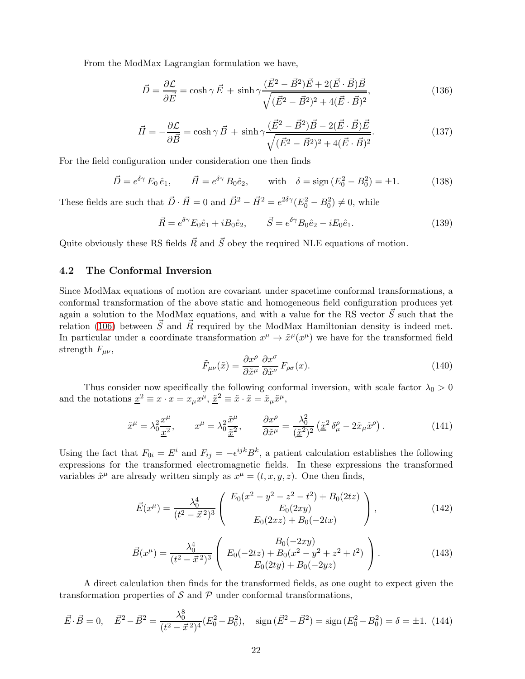From the ModMax Lagrangian formulation we have,

$$
\vec{D} = \frac{\partial \mathcal{L}}{\partial \vec{E}} = \cosh \gamma \, \vec{E} + \sinh \gamma \frac{(\vec{E}^2 - \vec{B}^2)\vec{E} + 2(\vec{E} \cdot \vec{B})\vec{B}}{\sqrt{(\vec{E}^2 - \vec{B}^2)^2 + 4(\vec{E} \cdot \vec{B})^2}},\tag{136}
$$

$$
\vec{H} = -\frac{\partial \mathcal{L}}{\partial \vec{B}} = \cosh \gamma \, \vec{B} + \sinh \gamma \frac{(\vec{E}^2 - \vec{B}^2)\vec{B} - 2(\vec{E} \cdot \vec{B})\vec{E}}{\sqrt{(\vec{E}^2 - \vec{B}^2)^2 + 4(\vec{E} \cdot \vec{B})^2}}.
$$
(137)

For the field configuration under consideration one then finds

$$
\vec{D} = e^{\delta \gamma} E_0 \hat{e}_1, \qquad \vec{H} = e^{\delta \gamma} B_0 \hat{e}_2, \qquad \text{with} \quad \delta = \text{sign}(E_0^2 - B_0^2) = \pm 1. \tag{138}
$$

These fields are such that  $\vec{D} \cdot \vec{H} = 0$  and  $\vec{D}^2 - \vec{H}^2 = e^{2\delta \gamma} (E_0^2 - B_0^2) \neq 0$ , while

$$
\vec{R} = e^{\delta \gamma} E_0 \hat{e}_1 + i B_0 \hat{e}_2, \qquad \vec{S} = e^{\delta \gamma} B_0 \hat{e}_2 - i E_0 \hat{e}_1.
$$
\n(139)

Quite obviously these RS fields  $\vec{R}$  and  $\vec{S}$  obey the required NLE equations of motion.

### 4.2 The Conformal Inversion

Since ModMax equations of motion are covariant under spacetime conformal transformations, a conformal transformation of the above static and homogeneous field configuration produces yet again a solution to the ModMax equations, and with a value for the RS vector  $\vec{S}$  such that the relation [\(106\)](#page-16-1) between  $\vec{S}$  and  $\vec{R}$  required by the ModMax Hamiltonian density is indeed met. In particular under a coordinate transformation  $x^{\mu} \to \tilde{x}^{\mu}(x^{\mu})$  we have for the transformed field strength  $F_{\mu\nu}$ ,

$$
\tilde{F}_{\mu\nu}(\tilde{x}) = \frac{\partial x^{\rho}}{\partial \tilde{x}^{\mu}} \frac{\partial x^{\sigma}}{\partial \tilde{x}^{\nu}} F_{\rho\sigma}(x).
$$
\n(140)

Thus consider now specifically the following conformal inversion, with scale factor  $\lambda_0 > 0$ and the notations  $\underline{x}^2 \equiv x \cdot x = x_\mu x^\mu$ ,  $\underline{\tilde{x}}^2 \equiv \tilde{x} \cdot \tilde{x} = \tilde{x}_\mu \tilde{x}^\mu$ ,

$$
\tilde{x}^{\mu} = \lambda_0^2 \frac{x^{\mu}}{\underline{x}^2}, \qquad x^{\mu} = \lambda_0^2 \frac{\tilde{x}^{\mu}}{\tilde{x}^2}, \qquad \frac{\partial x^{\rho}}{\partial \tilde{x}^{\mu}} = \frac{\lambda_0^2}{(\tilde{x}^2)^2} \left(\tilde{x}^2 \delta_{\mu}^{\rho} - 2\tilde{x}_{\mu} \tilde{x}^{\rho}\right). \tag{141}
$$

Using the fact that  $F_{0i} = E^i$  and  $F_{ij} = -\epsilon^{ijk} B^k$ , a patient calculation establishes the following expressions for the transformed electromagnetic fields. In these expressions the transformed variables  $\tilde{x}^{\mu}$  are already written simply as  $x^{\mu} = (t, x, y, z)$ . One then finds,

$$
\vec{E}(x^{\mu}) = \frac{\lambda_0^4}{(t^2 - \vec{x}^2)^3} \begin{pmatrix} E_0(x^2 - y^2 - z^2 - t^2) + B_0(2tz) \\ E_0(2xy) \\ E_0(2xz) + B_0(-2tx) \end{pmatrix},
$$
\n(142)

$$
\vec{B}(x^{\mu}) = \frac{\lambda_0^4}{(t^2 - \vec{x}^2)^3} \begin{pmatrix} B_0(-2xy) \\ E_0(-2tz) + B_0(x^2 - y^2 + z^2 + t^2) \\ E_0(2ty) + B_0(-2yz) \end{pmatrix}.
$$
 (143)

A direct calculation then finds for the transformed fields, as one ought to expect given the transformation properties of  $\mathcal S$  and  $\mathcal P$  under conformal transformations,

$$
\vec{E} \cdot \vec{B} = 0, \quad \vec{E}^2 - \vec{B}^2 = \frac{\lambda_0^8}{(t^2 - \vec{x}^2)^4} (E_0^2 - B_0^2), \quad \text{sign}\left(\vec{E}^2 - \vec{B}^2\right) = \text{sign}\left(E_0^2 - B_0^2\right) = \delta = \pm 1. \tag{144}
$$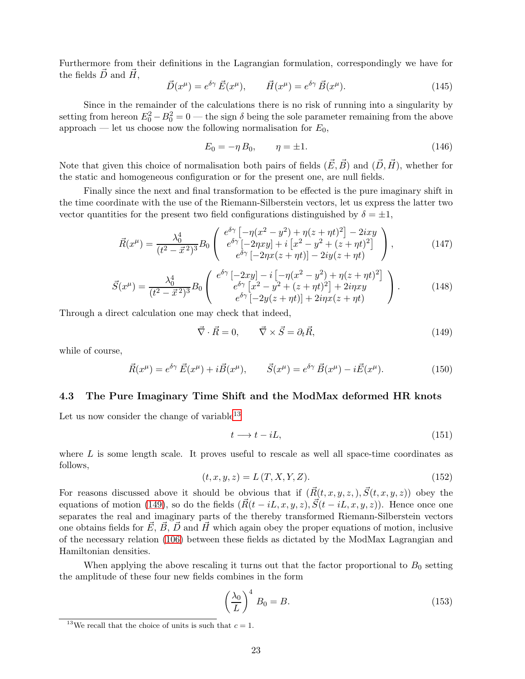Furthermore from their definitions in the Lagrangian formulation, correspondingly we have for the fields  $\overrightarrow{D}$  and  $\overrightarrow{H}$ ,

$$
\vec{D}(x^{\mu}) = e^{\delta \gamma} \vec{E}(x^{\mu}), \qquad \vec{H}(x^{\mu}) = e^{\delta \gamma} \vec{B}(x^{\mu}). \tag{145}
$$

Since in the remainder of the calculations there is no risk of running into a singularity by setting from hereon  $E_0^2 - B_0^2 = 0$  — the sign  $\delta$  being the sole parameter remaining from the above approach — let us choose now the following normalisation for  $E_0$ ,

$$
E_0 = -\eta \, B_0, \qquad \eta = \pm 1. \tag{146}
$$

Note that given this choice of normalisation both pairs of fields  $(\vec{E}, \vec{B})$  and  $(\vec{D}, \vec{H})$ , whether for the static and homogeneous configuration or for the present one, are null fields.

Finally since the next and final transformation to be effected is the pure imaginary shift in the time coordinate with the use of the Riemann-Silberstein vectors, let us express the latter two vector quantities for the present two field configurations distinguished by  $\delta = \pm 1$ ,

$$
\vec{R}(x^{\mu}) = \frac{\lambda_0^4}{(t^2 - \vec{x}^2)^3} B_0 \begin{pmatrix} e^{\delta \gamma} \left[ -\eta (x^2 - y^2) + \eta (z + \eta t)^2 \right] - 2ixy \\ e^{\delta \gamma} \left[ -2\eta xy \right] + i \left[ x^2 - y^2 + (z + \eta t)^2 \right] \\ e^{\delta \gamma} \left[ -2\eta x (z + \eta t) \right] - 2iy(z + \eta t) \end{pmatrix},
$$
\n(147)

$$
\vec{S}(x^{\mu}) = \frac{\lambda_0^4}{(t^2 - \vec{x}^2)^3} B_0 \begin{pmatrix} e^{\delta \gamma} \left[ -2xy \right] - i \left[ -\eta (x^2 - y^2) + \eta (z + \eta t)^2 \right] \\ e^{\delta \gamma} \left[ x^2 - y^2 + (z + \eta t)^2 \right] + 2i\eta xy \\ e^{\delta \gamma} \left[ -2y(z + \eta t) \right] + 2i\eta x (z + \eta t) \end{pmatrix} . \tag{148}
$$

Through a direct calculation one may check that indeed,

<span id="page-23-1"></span>
$$
\vec{\nabla} \cdot \vec{R} = 0, \qquad \vec{\nabla} \times \vec{S} = \partial_t \vec{R}, \tag{149}
$$

while of course,

$$
\vec{R}(x^{\mu}) = e^{\delta \gamma} \vec{E}(x^{\mu}) + i \vec{B}(x^{\mu}), \qquad \vec{S}(x^{\mu}) = e^{\delta \gamma} \vec{B}(x^{\mu}) - i \vec{E}(x^{\mu}). \tag{150}
$$

#### 4.3 The Pure Imaginary Time Shift and the ModMax deformed HR knots

Let us now consider the change of variable  $13$ 

$$
t \longrightarrow t - iL,\tag{151}
$$

where  $L$  is some length scale. It proves useful to rescale as well all space-time coordinates as follows,

$$
(t, x, y, z) = L(T, X, Y, Z).
$$
\n(152)

For reasons discussed above it should be obvious that if  $(\vec{R}(t, x, y, z), \vec{S}(t, x, y, z))$  obey the equations of motion [\(149\)](#page-23-1), so do the fields  $(\vec{R}(t - iL, x, y, z), \vec{S}(t - iL, x, y, z))$ . Hence once one separates the real and imaginary parts of the thereby transformed Riemann-Silberstein vectors one obtains fields for  $\vec{E}, \vec{B}, \vec{D}$  and  $\vec{H}$  which again obey the proper equations of motion, inclusive of the necessary relation [\(106\)](#page-16-1) between these fields as dictated by the ModMax Lagrangian and Hamiltonian densities.

When applying the above rescaling it turns out that the factor proportional to  $B_0$  setting the amplitude of these four new fields combines in the form

$$
\left(\frac{\lambda_0}{L}\right)^4 B_0 = B. \tag{153}
$$

<span id="page-23-0"></span><sup>&</sup>lt;sup>13</sup>We recall that the choice of units is such that  $c = 1$ .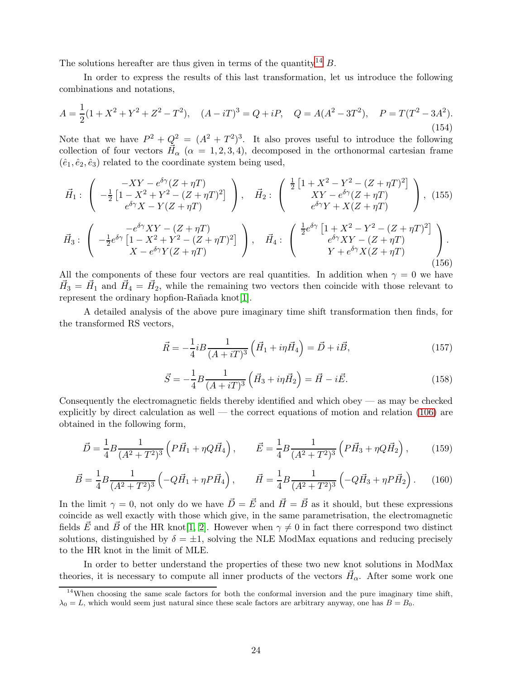The solutions hereafter are thus given in terms of the quantity<sup>[14](#page-24-0)</sup> B.

In order to express the results of this last transformation, let us introduce the following combinations and notations,

$$
A = \frac{1}{2}(1 + X^2 + Y^2 + Z^2 - T^2), \quad (A - iT)^3 = Q + iP, \quad Q = A(A^2 - 3T^2), \quad P = T(T^2 - 3A^2).
$$
\n(154)

Note that we have  $P^2 + Q^2 = (A^2 + T^2)^3$ . It also proves useful to introduce the following collection of four vectors  $\vec{H}_{\alpha}$  ( $\alpha = 1, 2, 3, 4$ ), decomposed in the orthonormal cartesian frame  $(\hat{e}_1, \hat{e}_2, \hat{e}_3)$  related to the coordinate system being used,

$$
\vec{H}_1: \begin{pmatrix} -XY - e^{\delta \gamma} (Z + \eta T) \\ -\frac{1}{2} \left[ 1 - X^2 + Y^2 - (Z + \eta T)^2 \right] \\ e^{\delta \gamma} X - Y (Z + \eta T) \end{pmatrix}, \quad \vec{H}_2: \begin{pmatrix} \frac{1}{2} \left[ 1 + X^2 - Y^2 - (Z + \eta T)^2 \right] \\ XY - e^{\delta \gamma} (Z + \eta T) \\ e^{\delta \gamma} Y + X (Z + \eta T) \end{pmatrix}, (155)
$$
\n
$$
\vec{H}_3: \begin{pmatrix} -e^{\delta \gamma} XY - (Z + \eta T) \\ -\frac{1}{2} e^{\delta \gamma} \left[ 1 - X^2 + Y^2 - (Z + \eta T)^2 \right] \\ X - e^{\delta \gamma} Y (Z + \eta T) \end{pmatrix}, \quad \vec{H}_4: \begin{pmatrix} \frac{1}{2} e^{\delta \gamma} \left[ 1 + X^2 - Y^2 - (Z + \eta T)^2 \right] \\ e^{\delta \gamma} XY - (Z + \eta T) \\ Y + e^{\delta \gamma} X (Z + \eta T) \end{pmatrix}.
$$
\n(156)

All the components of these four vectors are real quantities. In addition when  $\gamma = 0$  we have  $\vec{H}_3 = \vec{H}_1$  and  $\vec{H}_4 = \vec{H}_2$ , while the remaining two vectors then coincide with those relevant to represent the ordinary hopfion-Rañada knot[\[1\]](#page-31-0).

A detailed analysis of the above pure imaginary time shift transformation then finds, for the transformed RS vectors,

$$
\vec{R} = -\frac{1}{4}iB\frac{1}{(A+iT)^3}\left(\vec{H}_1 + i\eta\vec{H}_4\right) = \vec{D} + i\vec{B},\tag{157}
$$

$$
\vec{S} = -\frac{1}{4}B\frac{1}{(A+iT)^3}\left(\vec{H}_3 + i\eta\vec{H}_2\right) = \vec{H} - i\vec{E}.
$$
 (158)

Consequently the electromagnetic fields thereby identified and which obey  $-$  as may be checked explicitly by direct calculation as well — the correct equations of motion and relation [\(106\)](#page-16-1) are obtained in the following form,

$$
\vec{D} = \frac{1}{4} B \frac{1}{(A^2 + T^2)^3} \left( P \vec{H}_1 + \eta Q \vec{H}_4 \right), \qquad \vec{E} = \frac{1}{4} B \frac{1}{(A^2 + T^2)^3} \left( P \vec{H}_3 + \eta Q \vec{H}_2 \right), \tag{159}
$$

$$
\vec{B} = \frac{1}{4}B\frac{1}{(A^2 + T^2)^3} \left( -Q\vec{H}_1 + \eta P\vec{H}_4 \right), \qquad \vec{H} = \frac{1}{4}B\frac{1}{(A^2 + T^2)^3} \left( -Q\vec{H}_3 + \eta P\vec{H}_2 \right). \tag{160}
$$

In the limit  $\gamma = 0$ , not only do we have  $\vec{D} = \vec{E}$  and  $\vec{H} = \vec{B}$  as it should, but these expressions coincide as well exactly with those which give, in the same parametrisation, the electromagnetic fields  $\vec{E}$  and  $\vec{B}$  of the HR knot[\[1,](#page-31-0) [2\]](#page-31-1). However when  $\gamma \neq 0$  in fact there correspond two distinct solutions, distinguished by  $\delta = \pm 1$ , solving the NLE ModMax equations and reducing precisely to the HR knot in the limit of MLE.

In order to better understand the properties of these two new knot solutions in ModMax theories, it is necessary to compute all inner products of the vectors  $\vec{H}_{\alpha}$ . After some work one

<span id="page-24-0"></span><sup>&</sup>lt;sup>14</sup>When choosing the same scale factors for both the conformal inversion and the pure imaginary time shift,  $\lambda_0 = L$ , which would seem just natural since these scale factors are arbitrary anyway, one has  $B = B_0$ .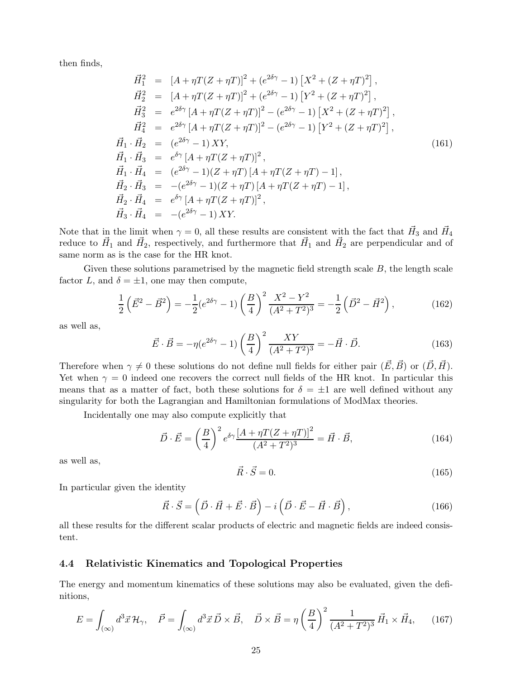then finds,

$$
\vec{H}_{1}^{2} = [A + \eta T(Z + \eta T)]^{2} + (e^{2\delta\gamma} - 1) [X^{2} + (Z + \eta T)^{2}], \n\vec{H}_{2}^{2} = [A + \eta T(Z + \eta T)]^{2} + (e^{2\delta\gamma} - 1) [Y^{2} + (Z + \eta T)^{2}], \n\vec{H}_{3}^{2} = e^{2\delta\gamma} [A + \eta T(Z + \eta T)]^{2} - (e^{2\delta\gamma} - 1) [X^{2} + (Z + \eta T)^{2}], \n\vec{H}_{4}^{2} = e^{2\delta\gamma} [A + \eta T(Z + \eta T)]^{2} - (e^{2\delta\gamma} - 1) [Y^{2} + (Z + \eta T)^{2}], \n\vec{H}_{1} \cdot \vec{H}_{2} = (e^{2\delta\gamma} - 1) XY, \n\vec{H}_{1} \cdot \vec{H}_{3} = e^{\delta\gamma} [A + \eta T(Z + \eta T)]^{2}, \n\vec{H}_{1} \cdot \vec{H}_{4} = (e^{2\delta\gamma} - 1)(Z + \eta T) [A + \eta T(Z + \eta T) - 1], \n\vec{H}_{2} \cdot \vec{H}_{3} = -(e^{2\delta\gamma} - 1)(Z + \eta T) [A + \eta T(Z + \eta T) - 1], \n\vec{H}_{2} \cdot \vec{H}_{4} = e^{\delta\gamma} [A + \eta T(Z + \eta T)]^{2}, \n\vec{H}_{3} \cdot \vec{H}_{4} = -(e^{2\delta\gamma} - 1) XY.
$$
\n(161)

Note that in the limit when  $\gamma = 0$ , all these results are consistent with the fact that  $\vec{H}_3$  and  $\vec{H}_4$ reduce to  $\vec{H}_1$  and  $\vec{H}_2$ , respectively, and furthermore that  $\vec{H}_1$  and  $\vec{H}_2$  are perpendicular and of same norm as is the case for the HR knot.

Given these solutions parametrised by the magnetic field strength scale  $B$ , the length scale factor L, and  $\delta = \pm 1$ , one may then compute,

$$
\frac{1}{2}\left(\vec{E}^2 - \vec{B}^2\right) = -\frac{1}{2}(e^{2\delta\gamma} - 1)\left(\frac{B}{4}\right)^2 \frac{X^2 - Y^2}{(A^2 + T^2)^3} = -\frac{1}{2}\left(\vec{D}^2 - \vec{H}^2\right),\tag{162}
$$

as well as,

$$
\vec{E} \cdot \vec{B} = -\eta (e^{2\delta \gamma} - 1) \left(\frac{B}{4}\right)^2 \frac{XY}{(A^2 + T^2)^3} = -\vec{H} \cdot \vec{D}.
$$
 (163)

Therefore when  $\gamma \neq 0$  these solutions do not define null fields for either pair  $(\vec{E}, \vec{B})$  or  $(\vec{D}, \vec{H})$ . Yet when  $\gamma = 0$  indeed one recovers the correct null fields of the HR knot. In particular this means that as a matter of fact, both these solutions for  $\delta = \pm 1$  are well defined without any singularity for both the Lagrangian and Hamiltonian formulations of ModMax theories.

Incidentally one may also compute explicitly that

$$
\vec{D} \cdot \vec{E} = \left(\frac{B}{4}\right)^2 e^{\delta \gamma} \frac{\left[A + \eta T (Z + \eta T)\right]^2}{(A^2 + T^2)^3} = \vec{H} \cdot \vec{B},\tag{164}
$$

as well as,

$$
\vec{R} \cdot \vec{S} = 0. \tag{165}
$$

In particular given the identity

$$
\vec{R} \cdot \vec{S} = (\vec{D} \cdot \vec{H} + \vec{E} \cdot \vec{B}) - i(\vec{D} \cdot \vec{E} - \vec{H} \cdot \vec{B}), \qquad (166)
$$

all these results for the different scalar products of electric and magnetic fields are indeed consistent.

#### <span id="page-25-0"></span>4.4 Relativistic Kinematics and Topological Properties

The energy and momentum kinematics of these solutions may also be evaluated, given the definitions,

$$
E = \int_{(\infty)} d^3 \vec{x} \mathcal{H}_{\gamma}, \quad \vec{P} = \int_{(\infty)} d^3 \vec{x} \,\vec{D} \times \vec{B}, \quad \vec{D} \times \vec{B} = \eta \left(\frac{B}{4}\right)^2 \frac{1}{(A^2 + T^2)^3} \,\vec{H}_1 \times \vec{H}_4,\tag{167}
$$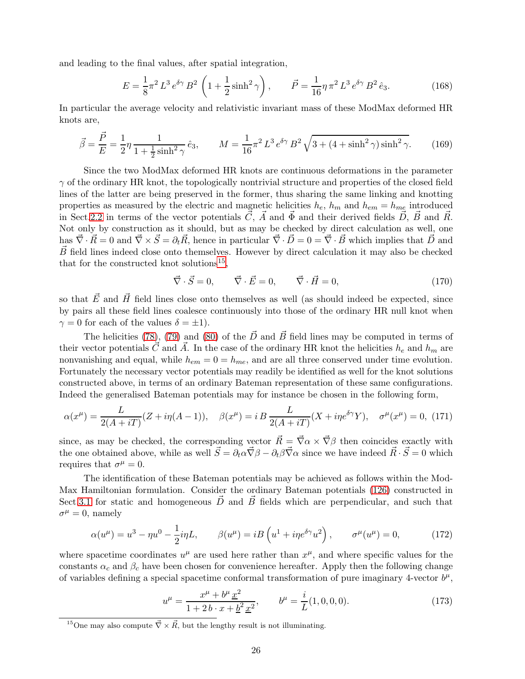and leading to the final values, after spatial integration,

$$
E = \frac{1}{8}\pi^2 L^3 e^{\delta \gamma} B^2 \left(1 + \frac{1}{2}\sinh^2 \gamma\right), \qquad \vec{P} = \frac{1}{16}\eta \pi^2 L^3 e^{\delta \gamma} B^2 \hat{e}_3. \tag{168}
$$

In particular the average velocity and relativistic invariant mass of these ModMax deformed HR knots are,

$$
\vec{\beta} = \frac{\vec{P}}{E} = \frac{1}{2}\eta \frac{1}{1 + \frac{1}{2}\sinh^2 \gamma} \hat{e}_3, \qquad M = \frac{1}{16}\pi^2 L^3 e^{\delta \gamma} B^2 \sqrt{3 + (4 + \sinh^2 \gamma)\sinh^2 \gamma}.
$$
 (169)

Since the two ModMax deformed HR knots are continuous deformations in the parameter  $\gamma$  of the ordinary HR knot, the topologically nontrivial structure and properties of the closed field lines of the latter are being preserved in the former, thus sharing the same linking and knotting properties as measured by the electric and magnetic helicities  $h_e$ ,  $h_m$  and  $h_{em} = h_{me}$  introduced in Sect[.2.2](#page-7-1) in terms of the vector potentials  $\vec{C}$ ,  $\vec{A}$  and  $\vec{\Phi}$  and their derived fields  $\vec{D}$ ,  $\vec{B}$  and  $\vec{R}$ . Not only by construction as it should, but as may be checked by direct calculation as well, one has  $\vec{\nabla} \cdot \vec{R} = 0$  and  $\vec{\nabla} \times \vec{S} = \partial_t \vec{R}$ , hence in particular  $\vec{\nabla} \cdot \vec{D} = 0 = \vec{\nabla} \cdot \vec{B}$  which implies that  $\vec{D}$  and  $\vec{B}$  field lines indeed close onto themselves. However by direct calculation it may also be checked that for the constructed knot solutions<sup>[15](#page-26-0)</sup>,

$$
\vec{\nabla} \cdot \vec{S} = 0, \qquad \vec{\nabla} \cdot \vec{E} = 0, \qquad \vec{\nabla} \cdot \vec{H} = 0,
$$
\n(170)

so that  $\vec{E}$  and  $\vec{H}$  field lines close onto themselves as well (as should indeed be expected, since by pairs all these field lines coalesce continuously into those of the ordinary HR null knot when  $\gamma = 0$  for each of the values  $\delta = \pm 1$ .

The helicities [\(78\)](#page-12-1), [\(79\)](#page-12-2) and [\(80\)](#page-12-3) of the  $\vec{D}$  and  $\vec{B}$  field lines may be computed in terms of their vector potentials  $\vec{C}$  and  $\vec{A}$ . In the case of the ordinary HR knot the helicities  $h_e$  and  $h_m$  are nonvanishing and equal, while  $h_{em} = 0 = h_{me}$ , and are all three conserved under time evolution. Fortunately the necessary vector potentials may readily be identified as well for the knot solutions constructed above, in terms of an ordinary Bateman representation of these same configurations. Indeed the generalised Bateman potentials may for instance be chosen in the following form,

<span id="page-26-2"></span>
$$
\alpha(x^{\mu}) = \frac{L}{2(A + iT)}(Z + i\eta(A - 1)), \quad \beta(x^{\mu}) = i \, B \, \frac{L}{2(A + iT)}(X + i\eta e^{\delta \gamma} Y), \quad \sigma^{\mu}(x^{\mu}) = 0, \tag{171}
$$

since, as may be checked, the corresponding vector  $\vec{R} = \vec{\nabla}\alpha \times \vec{\nabla}\beta$  then coincides exactly with the one obtained above, while as well  $\vec{S} = \partial_t \vec{\alpha} \vec{\nabla} \beta - \partial_t \beta \vec{\nabla} \alpha$  since we have indeed  $\vec{R} \cdot \vec{S} = 0$  which requires that  $\sigma^{\mu} = 0$ .

The identification of these Bateman potentials may be achieved as follows within the Mod-Max Hamiltonian formulation. Consider the ordinary Bateman potentials [\(126\)](#page-19-0) constructed in Sect[.3.1](#page-17-0) for static and homogeneous  $\vec{D}$  and  $\vec{B}$  fields which are perpendicular, and such that  $\sigma^{\mu} = 0$ , namely

<span id="page-26-1"></span>
$$
\alpha(u^{\mu}) = u^3 - \eta u^0 - \frac{1}{2} i\eta L, \qquad \beta(u^{\mu}) = iB\left(u^1 + i\eta e^{\delta\gamma} u^2\right), \qquad \sigma^{\mu}(u^{\mu}) = 0, \tag{172}
$$

where spacetime coordinates  $u^{\mu}$  are used here rather than  $x^{\mu}$ , and where specific values for the constants  $\alpha_c$  and  $\beta_c$  have been chosen for convenience hereafter. Apply then the following change of variables defining a special spacetime conformal transformation of pure imaginary 4-vector  $b^{\mu}$ ,

$$
u^{\mu} = \frac{x^{\mu} + b^{\mu} \underline{x}^{2}}{1 + 2b \cdot x + \underline{b}^{2} \underline{x}^{2}}, \qquad b^{\mu} = \frac{i}{L}(1, 0, 0, 0). \tag{173}
$$

<span id="page-26-0"></span><sup>&</sup>lt;sup>15</sup>One may also compute  $\vec{\nabla} \times \vec{R}$ , but the lengthy result is not illuminating.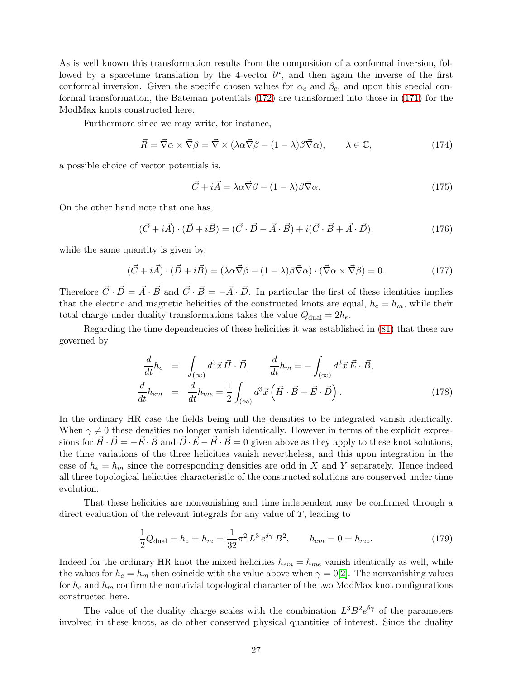As is well known this transformation results from the composition of a conformal inversion, followed by a spacetime translation by the 4-vector  $b^{\mu}$ , and then again the inverse of the first conformal inversion. Given the specific chosen values for  $\alpha_c$  and  $\beta_c$ , and upon this special conformal transformation, the Bateman potentials [\(172\)](#page-26-1) are transformed into those in [\(171\)](#page-26-2) for the ModMax knots constructed here.

Furthermore since we may write, for instance,

$$
\vec{R} = \vec{\nabla}\alpha \times \vec{\nabla}\beta = \vec{\nabla} \times (\lambda \alpha \vec{\nabla}\beta - (1 - \lambda)\beta \vec{\nabla}\alpha), \qquad \lambda \in \mathbb{C}, \tag{174}
$$

a possible choice of vector potentials is,

$$
\vec{C} + i\vec{A} = \lambda \alpha \vec{\nabla} \beta - (1 - \lambda) \beta \vec{\nabla} \alpha.
$$
 (175)

On the other hand note that one has,

$$
(\vec{C} + i\vec{A}) \cdot (\vec{D} + i\vec{B}) = (\vec{C} \cdot \vec{D} - \vec{A} \cdot \vec{B}) + i(\vec{C} \cdot \vec{B} + \vec{A} \cdot \vec{D}),
$$
\n(176)

while the same quantity is given by,

$$
(\vec{C} + i\vec{A}) \cdot (\vec{D} + i\vec{B}) = (\lambda \alpha \vec{\nabla} \beta - (1 - \lambda)\beta \vec{\nabla} \alpha) \cdot (\vec{\nabla} \alpha \times \vec{\nabla} \beta) = 0.
$$
 (177)

Therefore  $\vec{C}\cdot\vec{D}=\vec{A}\cdot\vec{B}$  and  $\vec{C}\cdot\vec{B}=-\vec{A}\cdot\vec{D}$ . In particular the first of these identities implies that the electric and magnetic helicities of the constructed knots are equal,  $h_e = h_m$ , while their total charge under duality transformations takes the value  $Q_{\text{dual}} = 2h_e$ .

Regarding the time dependencies of these helicities it was established in [\(81\)](#page-12-4) that these are governed by

$$
\frac{d}{dt}h_e = \int_{(\infty)} d^3 \vec{x} \vec{H} \cdot \vec{D}, \qquad \frac{d}{dt}h_m = -\int_{(\infty)} d^3 \vec{x} \vec{E} \cdot \vec{B},
$$
\n
$$
\frac{d}{dt}h_{em} = \frac{d}{dt}h_{me} = \frac{1}{2} \int_{(\infty)} d^3 \vec{x} \left( \vec{H} \cdot \vec{B} - \vec{E} \cdot \vec{D} \right).
$$
\n(178)

In the ordinary HR case the fields being null the densities to be integrated vanish identically. When  $\gamma \neq 0$  these densities no longer vanish identically. However in terms of the explicit expressions for  $\vec{H}\cdot\vec{D}=-\vec{E}\cdot\vec{B}$  and  $\vec{D}\cdot\vec{E}-\vec{H}\cdot\vec{B}=0$  given above as they apply to these knot solutions, the time variations of the three helicities vanish nevertheless, and this upon integration in the case of  $h_e = h_m$  since the corresponding densities are odd in X and Y separately. Hence indeed all three topological helicities characteristic of the constructed solutions are conserved under time evolution.

That these helicities are nonvanishing and time independent may be confirmed through a direct evaluation of the relevant integrals for any value of  $T$ , leading to

$$
\frac{1}{2}Q_{\text{dual}} = h_e = h_m = \frac{1}{32}\pi^2 L^3 e^{\delta \gamma} B^2, \qquad h_{em} = 0 = h_{me}.
$$
 (179)

Indeed for the ordinary HR knot the mixed helicities  $h_{em} = h_{me}$  vanish identically as well, while the values for  $h_e = h_m$  then coincide with the value above when  $\gamma = 0.2$ . The nonvanishing values for  $h_e$  and  $h_m$  confirm the nontrivial topological character of the two ModMax knot configurations constructed here.

The value of the duality charge scales with the combination  $L^3 B^2 e^{\delta \gamma}$  of the parameters involved in these knots, as do other conserved physical quantities of interest. Since the duality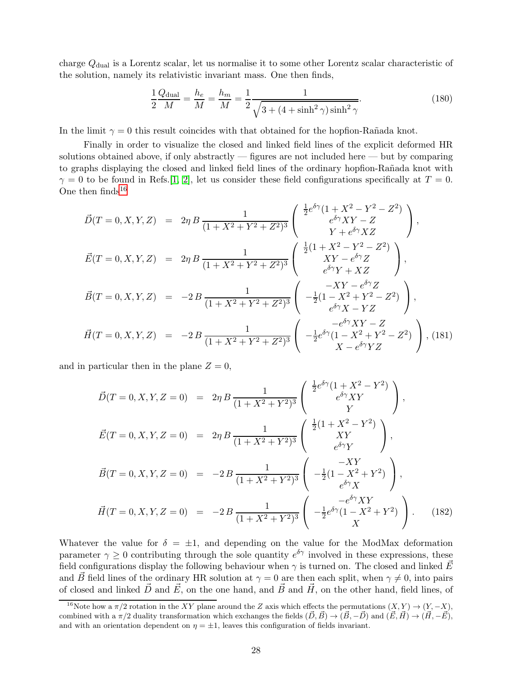charge  $Q_{\text{dual}}$  is a Lorentz scalar, let us normalise it to some other Lorentz scalar characteristic of the solution, namely its relativistic invariant mass. One then finds,

$$
\frac{1}{2}\frac{Q_{\text{dual}}}{M} = \frac{h_e}{M} = \frac{h_m}{M} = \frac{1}{2}\frac{1}{\sqrt{3 + (4 + \sinh^2 \gamma)\sinh^2 \gamma}}.\tag{180}
$$

In the limit  $\gamma = 0$  this result coincides with that obtained for the hopfion-Rañada knot.

Finally in order to visualize the closed and linked field lines of the explicit deformed HR solutions obtained above, if only abstractly — figures are not included here — but by comparing to graphs displaying the closed and linked field lines of the ordinary hopfion-Rañada knot with  $\gamma = 0$  to be found in Refs. [\[1,](#page-31-0) [2\]](#page-31-1), let us consider these field configurations specifically at  $T = 0$ . One then  $\text{finds}^{16}$  $\text{finds}^{16}$  $\text{finds}^{16}$ 

$$
\vec{D}(T=0,X,Y,Z) = 2\eta B \frac{1}{(1+X^2+Y^2+Z^2)^3} \begin{pmatrix} \frac{1}{2}e^{\delta\gamma}(1+X^2-Y^2-Z^2) \\ e^{\delta\gamma}XY-Z \\ Y+e^{\delta\gamma}XZ \end{pmatrix},
$$
\n
$$
\vec{E}(T=0,X,Y,Z) = 2\eta B \frac{1}{(1+X^2+Y^2+Z^2)^3} \begin{pmatrix} \frac{1}{2}(1+X^2-Y^2-Z^2) \\ XY-e^{\delta\gamma}Z \\ e^{\delta\gamma}Y+XZ \end{pmatrix},
$$
\n
$$
\vec{B}(T=0,X,Y,Z) = -2B \frac{1}{(1+X^2+Y^2+Z^2)^3} \begin{pmatrix} -XY-e^{\delta\gamma}Z \\ -\frac{1}{2}(1-X^2+Y^2-Z^2) \\ e^{\delta\gamma}X-YZ \end{pmatrix},
$$
\n
$$
\vec{H}(T=0,X,Y,Z) = -2B \frac{1}{(1+X^2+Y^2+Z^2)^3} \begin{pmatrix} -e^{\delta\gamma}XY-Z \\ -\frac{1}{2}e^{\delta\gamma}(1-X^2+Y^2-Z^2) \\ X-e^{\delta\gamma}YZ \end{pmatrix},
$$
\n(181)

and in particular then in the plane  $Z = 0$ ,

$$
\vec{D}(T=0,X,Y,Z=0) = 2\eta B \frac{1}{(1+X^2+Y^2)^3} \begin{pmatrix} \frac{1}{2}e^{\delta\gamma}(1+X^2-Y^2) \\ e^{\delta\gamma}XY \\ Y \end{pmatrix},
$$
\n
$$
\vec{E}(T=0,X,Y,Z=0) = 2\eta B \frac{1}{(1+X^2+Y^2)^3} \begin{pmatrix} \frac{1}{2}(1+X^2-Y^2) \\ XY \\ e^{\delta\gamma}Y \end{pmatrix},
$$
\n
$$
\vec{B}(T=0,X,Y,Z=0) = -2B \frac{1}{(1+X^2+Y^2)^3} \begin{pmatrix} -XY \\ -\frac{1}{2}(1-X^2+Y^2) \\ e^{\delta\gamma}X \end{pmatrix},
$$
\n
$$
\vec{H}(T=0,X,Y,Z=0) = -2B \frac{1}{(1+X^2+Y^2)^3} \begin{pmatrix} -e^{\delta\gamma}XY \\ -\frac{1}{2}e^{\delta\gamma}(1-X^2+Y^2) \\ X \end{pmatrix}.
$$
\n(182)

Whatever the value for  $\delta = \pm 1$ , and depending on the value for the ModMax deformation parameter  $\gamma \geq 0$  contributing through the sole quantity  $e^{\delta \gamma}$  involved in these expressions, these field configurations display the following behaviour when  $\gamma$  is turned on. The closed and linked  $\vec{E}$ and  $\vec{B}$  field lines of the ordinary HR solution at  $\gamma = 0$  are then each split, when  $\gamma \neq 0$ , into pairs of closed and linked  $\vec{D}$  and  $\vec{E}$ , on the one hand, and  $\vec{B}$  and  $\vec{H}$ , on the other hand, field lines, of

<span id="page-28-0"></span><sup>&</sup>lt;sup>16</sup>Note how a  $\pi/2$  rotation in the XY plane around the Z axis which effects the permutations  $(X, Y) \rightarrow (Y, -X)$ , combined with a  $\pi/2$  duality transformation which exchanges the fields  $(\vec{D}, \vec{B}) \rightarrow (\vec{B}, -\vec{D})$  and  $(\vec{E}, \vec{H}) \rightarrow (\vec{H}, -\vec{E}),$ and with an orientation dependent on  $\eta = \pm 1$ , leaves this configuration of fields invariant.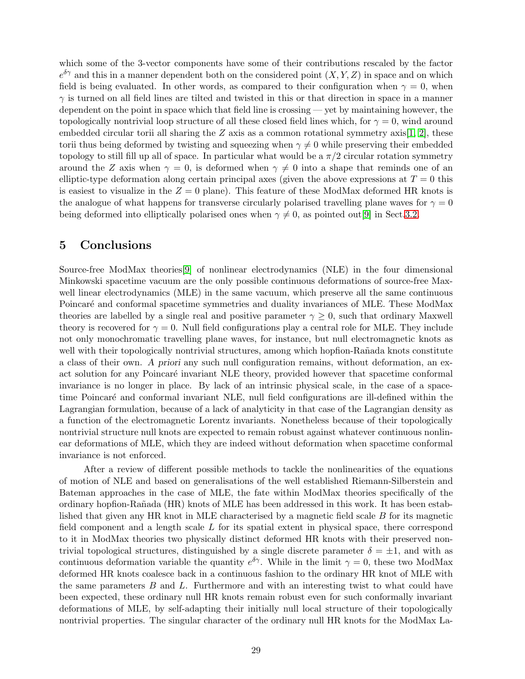which some of the 3-vector components have some of their contributions rescaled by the factor  $e^{\delta \gamma}$  and this in a manner dependent both on the considered point  $(X, Y, Z)$  in space and on which field is being evaluated. In other words, as compared to their configuration when  $\gamma = 0$ , when  $\gamma$  is turned on all field lines are tilted and twisted in this or that direction in space in a manner dependent on the point in space which that field line is crossing — yet by maintaining however, the topologically nontrivial loop structure of all these closed field lines which, for  $\gamma = 0$ , wind around embedded circular torii all sharing the Z axis as a common rotational symmetry axis[\[1,](#page-31-0) [2\]](#page-31-1), these torii thus being deformed by twisting and squeezing when  $\gamma \neq 0$  while preserving their embedded topology to still fill up all of space. In particular what would be a  $\pi/2$  circular rotation symmetry around the Z axis when  $\gamma = 0$ , is deformed when  $\gamma \neq 0$  into a shape that reminds one of an elliptic-type deformation along certain principal axes (given the above expressions at  $T = 0$  this is easiest to visualize in the  $Z = 0$  plane). This feature of these ModMax deformed HR knots is the analogue of what happens for transverse circularly polarised travelling plane waves for  $\gamma = 0$ being deformed into elliptically polarised ones when  $\gamma \neq 0$ , as pointed out[\[9\]](#page-31-8) in Sect[.3.2.](#page-20-0)

# 5 Conclusions

Source-free ModMax theories[\[9\]](#page-31-8) of nonlinear electrodynamics (NLE) in the four dimensional Minkowski spacetime vacuum are the only possible continuous deformations of source-free Maxwell linear electrodynamics (MLE) in the same vacuum, which preserve all the same continuous Poincaré and conformal spacetime symmetries and duality invariances of MLE. These ModMax theories are labelled by a single real and positive parameter  $\gamma \geq 0$ , such that ordinary Maxwell theory is recovered for  $\gamma = 0$ . Null field configurations play a central role for MLE. They include not only monochromatic travelling plane waves, for instance, but null electromagnetic knots as well with their topologically nontrivial structures, among which hopfion-Rañada knots constitute a class of their own. *A priori* any such null configuration remains, without deformation, an exact solution for any Poincaré invariant NLE theory, provided however that spacetime conformal invariance is no longer in place. By lack of an intrinsic physical scale, in the case of a spacetime Poincar´e and conformal invariant NLE, null field configurations are ill-defined within the Lagrangian formulation, because of a lack of analyticity in that case of the Lagrangian density as a function of the electromagnetic Lorentz invariants. Nonetheless because of their topologically nontrivial structure null knots are expected to remain robust against whatever continuous nonlinear deformations of MLE, which they are indeed without deformation when spacetime conformal invariance is not enforced.

After a review of different possible methods to tackle the nonlinearities of the equations of motion of NLE and based on generalisations of the well established Riemann-Silberstein and Bateman approaches in the case of MLE, the fate within ModMax theories specifically of the ordinary hopfion-Ra˜nada (HR) knots of MLE has been addressed in this work. It has been established that given any HR knot in MLE characterised by a magnetic field scale B for its magnetic field component and a length scale  $L$  for its spatial extent in physical space, there correspond to it in ModMax theories two physically distinct deformed HR knots with their preserved nontrivial topological structures, distinguished by a single discrete parameter  $\delta = \pm 1$ , and with as continuous deformation variable the quantity  $e^{\delta \gamma}$ . While in the limit  $\gamma = 0$ , these two ModMax deformed HR knots coalesce back in a continuous fashion to the ordinary HR knot of MLE with the same parameters  $B$  and  $L$ . Furthermore and with an interesting twist to what could have been expected, these ordinary null HR knots remain robust even for such conformally invariant deformations of MLE, by self-adapting their initially null local structure of their topologically nontrivial properties. The singular character of the ordinary null HR knots for the ModMax La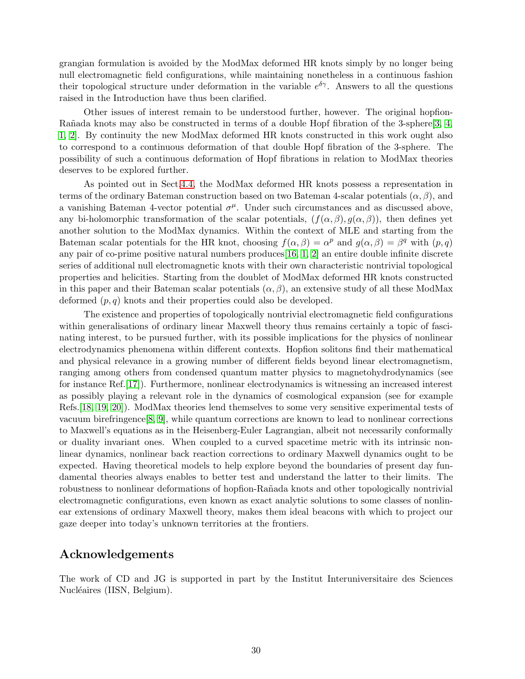grangian formulation is avoided by the ModMax deformed HR knots simply by no longer being null electromagnetic field configurations, while maintaining nonetheless in a continuous fashion their topological structure under deformation in the variable  $e^{\delta \gamma}$ . Answers to all the questions raised in the Introduction have thus been clarified.

Other issues of interest remain to be understood further, however. The original hopfion-Rañada knots may also be constructed in terms of a double Hopf fibration of the 3-sphere[\[3,](#page-31-2) [4,](#page-31-3) [1,](#page-31-0) [2\]](#page-31-1). By continuity the new ModMax deformed HR knots constructed in this work ought also to correspond to a continuous deformation of that double Hopf fibration of the 3-sphere. The possibility of such a continuous deformation of Hopf fibrations in relation to ModMax theories deserves to be explored further.

As pointed out in Sect[.4.4,](#page-25-0) the ModMax deformed HR knots possess a representation in terms of the ordinary Bateman construction based on two Bateman 4-scalar potentials  $(\alpha, \beta)$ , and a vanishing Bateman 4-vector potential  $\sigma^{\mu}$ . Under such circumstances and as discussed above, any bi-holomorphic transformation of the scalar potentials,  $(f(\alpha, \beta), g(\alpha, \beta))$ , then defines yet another solution to the ModMax dynamics. Within the context of MLE and starting from the Bateman scalar potentials for the HR knot, choosing  $f(\alpha, \beta) = \alpha^p$  and  $g(\alpha, \beta) = \beta^q$  with  $(p, q)$ any pair of co-prime positive natural numbers produces  $[16, 1, 2]$  $[16, 1, 2]$  $[16, 1, 2]$  $[16, 1, 2]$  an entire double infinite discrete series of additional null electromagnetic knots with their own characteristic nontrivial topological properties and helicities. Starting from the doublet of ModMax deformed HR knots constructed in this paper and their Bateman scalar potentials  $(\alpha, \beta)$ , an extensive study of all these ModMax deformed  $(p, q)$  knots and their properties could also be developed.

The existence and properties of topologically nontrivial electromagnetic field configurations within generalisations of ordinary linear Maxwell theory thus remains certainly a topic of fascinating interest, to be pursued further, with its possible implications for the physics of nonlinear electrodynamics phenomena within different contexts. Hopfion solitons find their mathematical and physical relevance in a growing number of different fields beyond linear electromagnetism, ranging among others from condensed quantum matter physics to magnetohydrodynamics (see for instance Ref.[\[17\]](#page-31-16)). Furthermore, nonlinear electrodynamics is witnessing an increased interest as possibly playing a relevant role in the dynamics of cosmological expansion (see for example Refs.[\[18,](#page-31-17) [19,](#page-31-18) [20\]](#page-31-19)). ModMax theories lend themselves to some very sensitive experimental tests of vacuum birefringence[\[8,](#page-31-7) [9\]](#page-31-8), while quantum corrections are known to lead to nonlinear corrections to Maxwell's equations as in the Heisenberg-Euler Lagrangian, albeit not necessarily conformally or duality invariant ones. When coupled to a curved spacetime metric with its intrinsic nonlinear dynamics, nonlinear back reaction corrections to ordinary Maxwell dynamics ought to be expected. Having theoretical models to help explore beyond the boundaries of present day fundamental theories always enables to better test and understand the latter to their limits. The robustness to nonlinear deformations of hopfion-Rañada knots and other topologically nontrivial electromagnetic configurations, even known as exact analytic solutions to some classes of nonlinear extensions of ordinary Maxwell theory, makes them ideal beacons with which to project our gaze deeper into today's unknown territories at the frontiers.

## Acknowledgements

The work of CD and JG is supported in part by the Institut Interuniversitaire des Sciences Nucléaires *(IISN, Belgium)*.